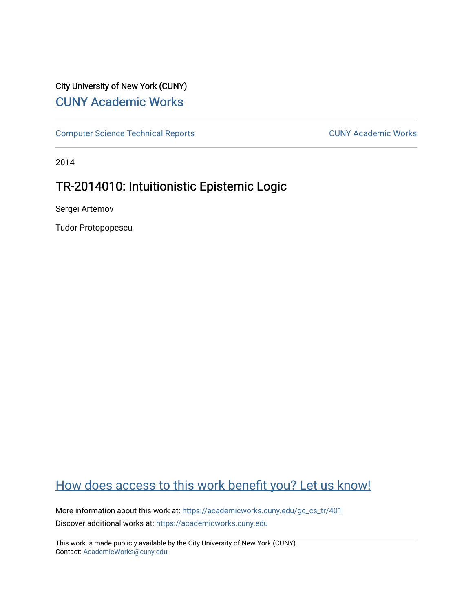# City University of New York (CUNY) [CUNY Academic Works](https://academicworks.cuny.edu/)

[Computer Science Technical Reports](https://academicworks.cuny.edu/gc_cs_tr) **CUNY Academic Works** CUNY Academic Works

2014

# TR-2014010: Intuitionistic Epistemic Logic

Sergei Artemov

Tudor Protopopescu

# [How does access to this work benefit you? Let us know!](http://ols.cuny.edu/academicworks/?ref=https://academicworks.cuny.edu/gc_cs_tr/401)

More information about this work at: [https://academicworks.cuny.edu/gc\\_cs\\_tr/401](https://academicworks.cuny.edu/gc_cs_tr/401)  Discover additional works at: [https://academicworks.cuny.edu](https://academicworks.cuny.edu/?)

This work is made publicly available by the City University of New York (CUNY). Contact: [AcademicWorks@cuny.edu](mailto:AcademicWorks@cuny.edu)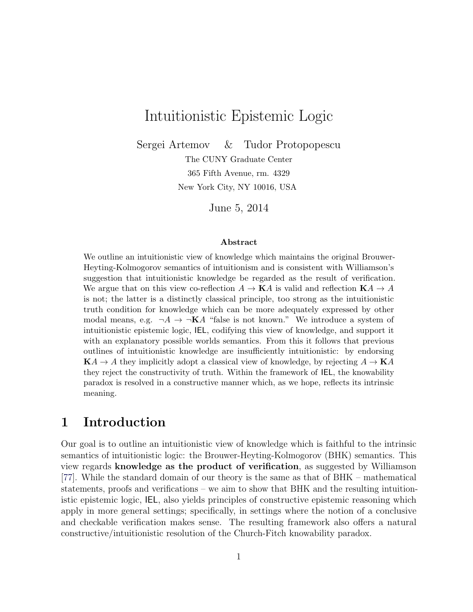# <span id="page-1-0"></span>Intuitionistic Epistemic Logic

Sergei Artemov & Tudor Protopopescu

The CUNY Graduate Center 365 Fifth Avenue, rm. 4329 New York City, NY 10016, USA

June 5, 2014

#### Abstract

We outline an intuitionistic view of knowledge which maintains the original Brouwer-Heyting-Kolmogorov semantics of intuitionism and is consistent with Williamson's suggestion that intuitionistic knowledge be regarded as the result of verification. We argue that on this view co-reflection  $A \to \mathbf{K}A$  is valid and reflection  $\mathbf{K}A \to A$ is not; the latter is a distinctly classical principle, too strong as the intuitionistic truth condition for knowledge which can be more adequately expressed by other modal means, e.g.  $\neg A \rightarrow \neg \mathbf{K}A$  "false is not known." We introduce a system of intuitionistic epistemic logic, IEL, codifying this view of knowledge, and support it with an explanatory possible worlds semantics. From this it follows that previous outlines of intuitionistic knowledge are insufficiently intuitionistic: by endorsing  $KA \rightarrow A$  they implicitly adopt a classical view of knowledge, by rejecting  $A \rightarrow KA$ they reject the constructivity of truth. Within the framework of IEL, the knowability paradox is resolved in a constructive manner which, as we hope, reflects its intrinsic meaning.

## 1 Introduction

Our goal is to outline an intuitionistic view of knowledge which is faithful to the intrinsic semantics of intuitionistic logic: the Brouwer-Heyting-Kolmogorov (BHK) semantics. This view regards knowledge as the product of verification, as suggested by Williamson [\[77\]](#page-36-0). While the standard domain of our theory is the same as that of BHK – mathematical statements, proofs and verifications – we aim to show that BHK and the resulting intuitionistic epistemic logic, IEL, also yields principles of constructive epistemic reasoning which apply in more general settings; specifically, in settings where the notion of a conclusive and checkable verification makes sense. The resulting framework also offers a natural constructive/intuitionistic resolution of the Church-Fitch knowability paradox.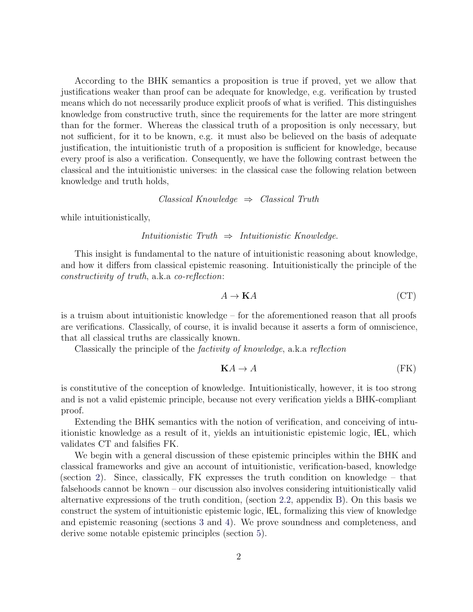According to the BHK semantics a proposition is true if proved, yet we allow that justifications weaker than proof can be adequate for knowledge, e.g. verification by trusted means which do not necessarily produce explicit proofs of what is verified. This distinguishes knowledge from constructive truth, since the requirements for the latter are more stringent than for the former. Whereas the classical truth of a proposition is only necessary, but not sufficient, for it to be known, e.g. it must also be believed on the basis of adequate justification, the intuitionistic truth of a proposition is sufficient for knowledge, because every proof is also a verification. Consequently, we have the following contrast between the classical and the intuitionistic universes: in the classical case the following relation between knowledge and truth holds,

$$
Classical Knowledge \Rightarrow Classical Truth
$$

while intuitionistically,

$$
In tuitionistic\; Truth \;\Rightarrow\; Intuitionistic\; Knowledge.
$$

This insight is fundamental to the nature of intuitionistic reasoning about knowledge, and how it differs from classical epistemic reasoning. Intuitionistically the principle of the constructivity of truth, a.k.a co-reflection:

$$
A \to \mathbf{K}A \tag{CT}
$$

is a truism about intuitionistic knowledge – for the aforementioned reason that all proofs are verifications. Classically, of course, it is invalid because it asserts a form of omniscience, that all classical truths are classically known.

Classically the principle of the factivity of knowledge, a.k.a reflection

$$
\mathbf{K}A \to A \tag{FK}
$$

is constitutive of the conception of knowledge. Intuitionistically, however, it is too strong and is not a valid epistemic principle, because not every verification yields a BHK-compliant proof.

Extending the BHK semantics with the notion of verification, and conceiving of intuitionistic knowledge as a result of it, yields an intuitionistic epistemic logic, IEL, which validates CT and falsifies FK.

We begin with a general discussion of these epistemic principles within the BHK and classical frameworks and give an account of intuitionistic, verification-based, knowledge (section [2\)](#page-3-0). Since, classically, FK expresses the truth condition on knowledge – that falsehoods cannot be known – our discussion also involves considering intuitionistically valid alternative expressions of the truth condition, (section [2.2,](#page-7-0) appendix [B\)](#page-31-0). On this basis we construct the system of intuitionistic epistemic logic, IEL, formalizing this view of knowledge and epistemic reasoning (sections [3](#page-9-0) and [4\)](#page-12-0). We prove soundness and completeness, and derive some notable epistemic principles (section [5\)](#page-14-0).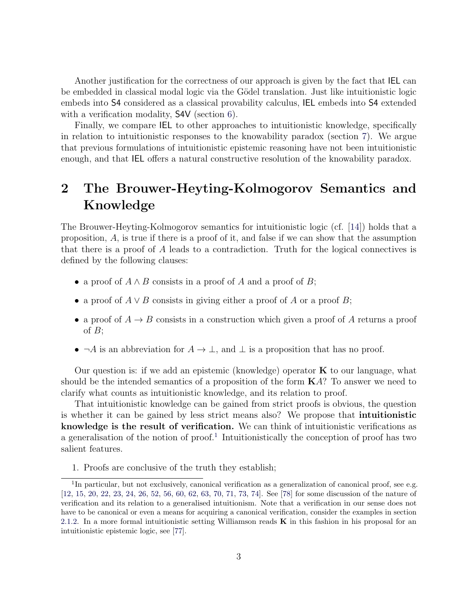<span id="page-3-2"></span>Another justification for the correctness of our approach is given by the fact that IEL can be embedded in classical modal logic via the Gödel translation. Just like intuitionistic logic embeds into S4 considered as a classical provability calculus, IEL embeds into S4 extended with a verification modality, **S4V** (section [6\)](#page-18-0).

Finally, we compare IEL to other approaches to intuitionistic knowledge, specifically in relation to intuitionistic responses to the knowability paradox (section [7\)](#page-22-0). We argue that previous formulations of intuitionistic epistemic reasoning have not been intuitionistic enough, and that IEL offers a natural constructive resolution of the knowability paradox.

# <span id="page-3-0"></span>2 The Brouwer-Heyting-Kolmogorov Semantics and Knowledge

The Brouwer-Heyting-Kolmogorov semantics for intuitionistic logic (cf. [\[14\]](#page-33-0)) holds that a proposition, A, is true if there is a proof of it, and false if we can show that the assumption that there is a proof of A leads to a contradiction. Truth for the logical connectives is defined by the following clauses:

- a proof of  $A \wedge B$  consists in a proof of A and a proof of B;
- a proof of  $A \vee B$  consists in giving either a proof of A or a proof B;
- a proof of  $A \rightarrow B$  consists in a construction which given a proof of A returns a proof of  $B$ ;
- $\neg A$  is an abbreviation for  $A \to \bot$ , and  $\bot$  is a proposition that has no proof.

Our question is: if we add an epistemic (knowledge) operator  $\bf{K}$  to our language, what should be the intended semantics of a proposition of the form  $K\mathcal{A}$ ? To answer we need to clarify what counts as intuitionistic knowledge, and its relation to proof.

That intuitionistic knowledge can be gained from strict proofs is obvious, the question is whether it can be gained by less strict means also? We propose that intuitionistic knowledge is the result of verification. We can think of intuitionistic verifications as a generalisation of the notion of proof.<sup>[1](#page-3-1)</sup> Intuitionistically the conception of proof has two salient features.

<span id="page-3-1"></span>1. Proofs are conclusive of the truth they establish;

<sup>&</sup>lt;sup>1</sup>In particular, but not exclusively, canonical verification as a generalization of canonical proof, see e.g. [\[12,](#page-32-0) [15,](#page-33-1) [20,](#page-33-2) [22,](#page-33-3) [23,](#page-33-4) [24,](#page-33-5) [26,](#page-33-6) [52,](#page-35-0) [56,](#page-35-1) [60,](#page-35-2) [62,](#page-36-1) [63,](#page-36-2) [70,](#page-36-3) [71,](#page-36-4) [73,](#page-36-5) [74\]](#page-36-6). See [\[78\]](#page-37-0) for some discussion of the nature of verification and its relation to a generalised intuitionism. Note that a verification in our sense does not have to be canonical or even a means for acquiring a canonical verification, consider the examples in section [2.1.2.](#page-6-0) In a more formal intuitionistic setting Williamson reads  $\bf{K}$  in this fashion in his proposal for an intuitionistic epistemic logic, see [\[77\]](#page-36-0).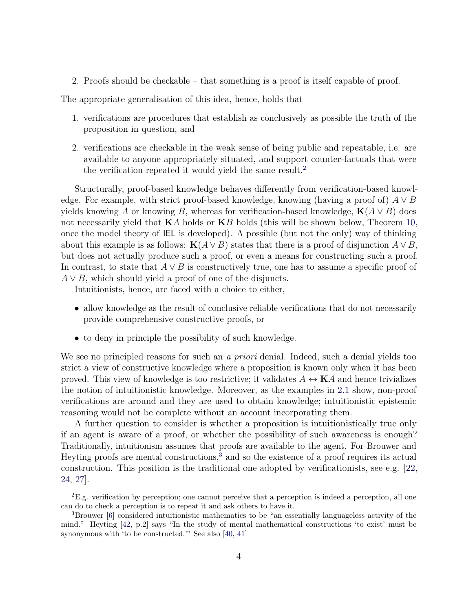<span id="page-4-2"></span>2. Proofs should be checkable – that something is a proof is itself capable of proof.

The appropriate generalisation of this idea, hence, holds that

- 1. verifications are procedures that establish as conclusively as possible the truth of the proposition in question, and
- 2. verifications are checkable in the weak sense of being public and repeatable, i.e. are available to anyone appropriately situated, and support counter-factuals that were the verification repeated it would yield the same result.<sup>[2](#page-4-0)</sup>

Structurally, proof-based knowledge behaves differently from verification-based knowledge. For example, with strict proof-based knowledge, knowing (having a proof of)  $A \vee B$ yields knowing A or knowing B, whereas for verification-based knowledge,  $K(A \vee B)$  does not necessarily yield that  $KA$  holds or  $KB$  holds (this will be shown below, Theorem [10,](#page-16-0) once the model theory of IEL is developed). A possible (but not the only) way of thinking about this example is as follows:  $\mathbf{K}(A \vee B)$  states that there is a proof of disjunction  $A \vee B$ , but does not actually produce such a proof, or even a means for constructing such a proof. In contrast, to state that  $A \vee B$  is constructively true, one has to assume a specific proof of  $A \vee B$ , which should yield a proof of one of the disjuncts.

Intuitionists, hence, are faced with a choice to either,

- allow knowledge as the result of conclusive reliable verifications that do not necessarily provide comprehensive constructive proofs, or
- to deny in principle the possibility of such knowledge.

We see no principled reasons for such an a priori denial. Indeed, such a denial yields too strict a view of constructive knowledge where a proposition is known only when it has been proved. This view of knowledge is too restrictive; it validates  $A \leftrightarrow \mathbf{K}A$  and hence trivializes the notion of intuitionistic knowledge. Moreover, as the examples in [2.1](#page-5-0) show, non-proof verifications are around and they are used to obtain knowledge; intuitionistic epistemic reasoning would not be complete without an account incorporating them.

A further question to consider is whether a proposition is intuitionistically true only if an agent is aware of a proof, or whether the possibility of such awareness is enough? Traditionally, intuitionism assumes that proofs are available to the agent. For Brouwer and Heyting proofs are mental constructions,<sup>[3](#page-4-1)</sup> and so the existence of a proof requires its actual construction. This position is the traditional one adopted by verificationists, see e.g. [\[22,](#page-33-3) [24,](#page-33-5) [27\]](#page-33-7).

<span id="page-4-0"></span><sup>2</sup>E.g. verification by perception; one cannot perceive that a perception is indeed a perception, all one can do to check a perception is to repeat it and ask others to have it.

<span id="page-4-1"></span><sup>3</sup>Brouwer [\[6\]](#page-32-1) considered intuitionistic mathematics to be "an essentially languageless activity of the mind." Heyting [\[42,](#page-34-0) p.2] says "In the study of mental mathematical constructions 'to exist' must be synonymous with 'to be constructed.'" See also [\[40,](#page-34-1) [41\]](#page-34-2)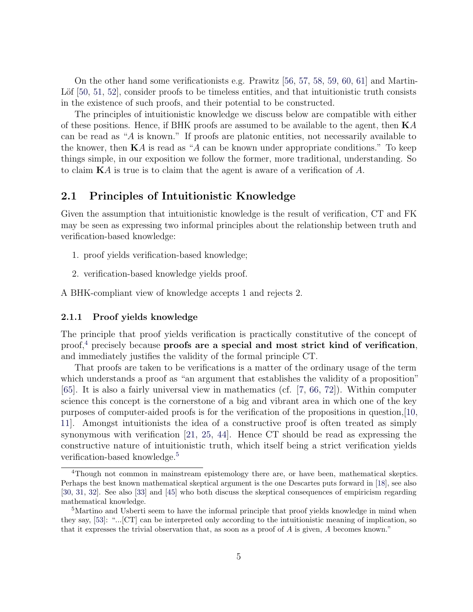<span id="page-5-4"></span>On the other hand some verificationists e.g. Prawitz [\[56,](#page-35-1) [57,](#page-35-3) [58,](#page-35-4) [59,](#page-35-5) [60,](#page-35-2) [61\]](#page-36-7) and Martin-Löf  $[50, 51, 52]$  $[50, 51, 52]$  $[50, 51, 52]$  $[50, 51, 52]$ , consider proofs to be timeless entities, and that intuitionistic truth consists in the existence of such proofs, and their potential to be constructed.

The principles of intuitionistic knowledge we discuss below are compatible with either of these positions. Hence, if BHK proofs are assumed to be available to the agent, then  $KA$ can be read as "A is known." If proofs are platonic entities, not necessarily available to the knower, then  $\mathbf{K}A$  is read as "A can be known under appropriate conditions." To keep things simple, in our exposition we follow the former, more traditional, understanding. So to claim KA is true is to claim that the agent is aware of a verification of A.

### <span id="page-5-0"></span>2.1 Principles of Intuitionistic Knowledge

Given the assumption that intuitionistic knowledge is the result of verification, CT and FK may be seen as expressing two informal principles about the relationship between truth and verification-based knowledge:

- 1. proof yields verification-based knowledge;
- 2. verification-based knowledge yields proof.

A BHK-compliant view of knowledge accepts 1 and rejects 2.

#### <span id="page-5-3"></span>2.1.1 Proof yields knowledge

The principle that proof yields verification is practically constitutive of the concept of proof,<sup>[4](#page-5-1)</sup> precisely because proofs are a special and most strict kind of verification, and immediately justifies the validity of the formal principle CT.

That proofs are taken to be verifications is a matter of the ordinary usage of the term which understands a proof as "an argument that establishes the validity of a proposition" [\[65\]](#page-36-8). It is also a fairly universal view in mathematics (cf. [\[7,](#page-32-2) [66,](#page-36-9) [72\]](#page-36-10)). Within computer science this concept is the cornerstone of a big and vibrant area in which one of the key purposes of computer-aided proofs is for the verification of the propositions in question,[\[10,](#page-32-3) [11\]](#page-32-4). Amongst intuitionists the idea of a constructive proof is often treated as simply synonymous with verification [\[21,](#page-33-8) [25,](#page-33-9) [44\]](#page-35-8). Hence CT should be read as expressing the constructive nature of intuitionistic truth, which itself being a strict verification yields verification-based knowledge.<sup>[5](#page-5-2)</sup>

<span id="page-5-1"></span><sup>&</sup>lt;sup>4</sup>Though not common in mainstream epistemology there are, or have been, mathematical skeptics. Perhaps the best known mathematical skeptical argument is the one Descartes puts forward in [\[18\]](#page-33-10), see also [\[30,](#page-34-3) [31,](#page-34-4) [32\]](#page-34-5). See also [\[33\]](#page-34-6) and [\[45\]](#page-35-9) who both discuss the skeptical consequences of empiricism regarding mathematical knowledge.

<span id="page-5-2"></span><sup>&</sup>lt;sup>5</sup>Martino and Usberti seem to have the informal principle that proof yields knowledge in mind when they say, [\[53\]](#page-35-10): "...[CT] can be interpreted only according to the intuitionistic meaning of implication, so that it expresses the trivial observation that, as soon as a proof of A is given, A becomes known."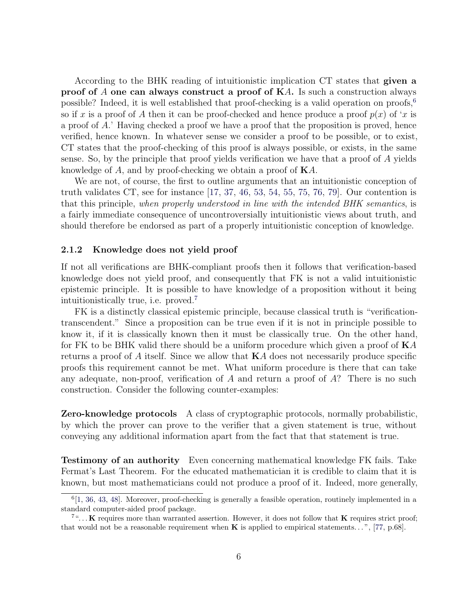<span id="page-6-3"></span>According to the BHK reading of intuitionistic implication CT states that given a proof of A one can always construct a proof of KA. Is such a construction always possible? Indeed, it is well established that proof-checking is a valid operation on proofs,<sup>[6](#page-6-1)</sup> so if x is a proof of A then it can be proof-checked and hence produce a proof  $p(x)$  of 'x is a proof of A.' Having checked a proof we have a proof that the proposition is proved, hence verified, hence known. In whatever sense we consider a proof to be possible, or to exist, CT states that the proof-checking of this proof is always possible, or exists, in the same sense. So, by the principle that proof yields verification we have that a proof of A yields knowledge of A, and by proof-checking we obtain a proof of KA.

We are not, of course, the first to outline arguments that an intuitionistic conception of truth validates CT, see for instance  $[17, 37, 46, 53, 54, 55, 75, 76, 79]$  $[17, 37, 46, 53, 54, 55, 75, 76, 79]$  $[17, 37, 46, 53, 54, 55, 75, 76, 79]$  $[17, 37, 46, 53, 54, 55, 75, 76, 79]$  $[17, 37, 46, 53, 54, 55, 75, 76, 79]$  $[17, 37, 46, 53, 54, 55, 75, 76, 79]$  $[17, 37, 46, 53, 54, 55, 75, 76, 79]$  $[17, 37, 46, 53, 54, 55, 75, 76, 79]$  $[17, 37, 46, 53, 54, 55, 75, 76, 79]$  $[17, 37, 46, 53, 54, 55, 75, 76, 79]$  $[17, 37, 46, 53, 54, 55, 75, 76, 79]$  $[17, 37, 46, 53, 54, 55, 75, 76, 79]$  $[17, 37, 46, 53, 54, 55, 75, 76, 79]$  $[17, 37, 46, 53, 54, 55, 75, 76, 79]$  $[17, 37, 46, 53, 54, 55, 75, 76, 79]$  $[17, 37, 46, 53, 54, 55, 75, 76, 79]$ . Our contention is that this principle, when properly understood in line with the intended BHK semantics, is a fairly immediate consequence of uncontroversially intuitionistic views about truth, and should therefore be endorsed as part of a properly intuitionistic conception of knowledge.

#### <span id="page-6-0"></span>2.1.2 Knowledge does not yield proof

If not all verifications are BHK-compliant proofs then it follows that verification-based knowledge does not yield proof, and consequently that FK is not a valid intuitionistic epistemic principle. It is possible to have knowledge of a proposition without it being intuitionistically true, i.e. proved.[7](#page-6-2)

FK is a distinctly classical epistemic principle, because classical truth is "verificationtranscendent." Since a proposition can be true even if it is not in principle possible to know it, if it is classically known then it must be classically true. On the other hand, for FK to be BHK valid there should be a uniform procedure which given a proof of  $KA$ returns a proof of A itself. Since we allow that  $\mathbf{K}A$  does not necessarily produce specific proofs this requirement cannot be met. What uniform procedure is there that can take any adequate, non-proof, verification of A and return a proof of  $A$ ? There is no such construction. Consider the following counter-examples:

Zero-knowledge protocols A class of cryptographic protocols, normally probabilistic, by which the prover can prove to the verifier that a given statement is true, without conveying any additional information apart from the fact that that statement is true.

Testimony of an authority Even concerning mathematical knowledge FK fails. Take Fermat's Last Theorem. For the educated mathematician it is credible to claim that it is known, but most mathematicians could not produce a proof of it. Indeed, more generally,

<span id="page-6-1"></span> $^{6}[1, 36, 43, 48]$  $^{6}[1, 36, 43, 48]$  $^{6}[1, 36, 43, 48]$  $^{6}[1, 36, 43, 48]$  $^{6}[1, 36, 43, 48]$  $^{6}[1, 36, 43, 48]$  $^{6}[1, 36, 43, 48]$  $^{6}[1, 36, 43, 48]$ . Moreover, proof-checking is generally a feasible operation, routinely implemented in a standard computer-aided proof package.

<span id="page-6-2"></span> $7^{\omega}$ ... K requires more than warranted assertion. However, it does not follow that K requires strict proof; that would not be a reasonable requirement when  $\bf{K}$  is applied to empirical statements...", [\[77,](#page-36-0) p.68].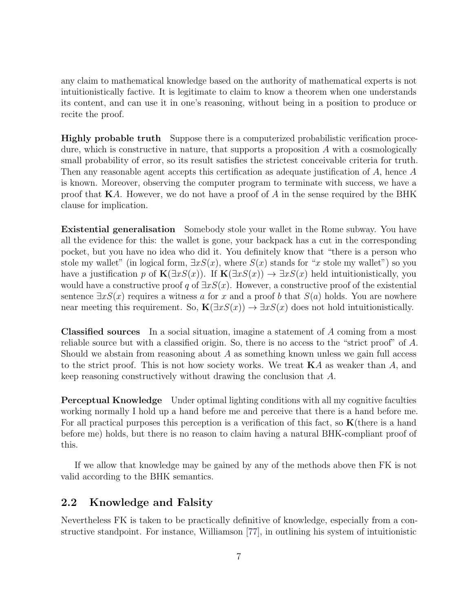<span id="page-7-1"></span>any claim to mathematical knowledge based on the authority of mathematical experts is not intuitionistically factive. It is legitimate to claim to know a theorem when one understands its content, and can use it in one's reasoning, without being in a position to produce or recite the proof.

Highly probable truth Suppose there is a computerized probabilistic verification procedure, which is constructive in nature, that supports a proposition A with a cosmologically small probability of error, so its result satisfies the strictest conceivable criteria for truth. Then any reasonable agent accepts this certification as adequate justification of A, hence A is known. Moreover, observing the computer program to terminate with success, we have a proof that  $\mathbf{K}A$ . However, we do not have a proof of A in the sense required by the BHK clause for implication.

Existential generalisation Somebody stole your wallet in the Rome subway. You have all the evidence for this: the wallet is gone, your backpack has a cut in the corresponding pocket, but you have no idea who did it. You definitely know that "there is a person who stole my wallet" (in logical form,  $\exists x S(x)$ , where  $S(x)$  stands for "x stole my wallet") so you have a justification p of  $\mathbf{K}(\exists x S(x))$ . If  $\mathbf{K}(\exists x S(x)) \rightarrow \exists x S(x)$  held intuitionistically, you would have a constructive proof q of  $\exists x S(x)$ . However, a constructive proof of the existential sentence  $\exists x S(x)$  requires a witness a for x and a proof b that  $S(a)$  holds. You are nowhere near meeting this requirement. So,  $\mathbf{K}(\exists x S(x)) \rightarrow \exists x S(x)$  does not hold intuitionistically.

Classified sources In a social situation, imagine a statement of A coming from a most reliable source but with a classified origin. So, there is no access to the "strict proof" of A. Should we abstain from reasoning about  $A$  as something known unless we gain full access to the strict proof. This is not how society works. We treat  $KA$  as weaker than  $A$ , and keep reasoning constructively without drawing the conclusion that A.

Perceptual Knowledge Under optimal lighting conditions with all my cognitive faculties working normally I hold up a hand before me and perceive that there is a hand before me. For all practical purposes this perception is a verification of this fact, so  $K$ (there is a hand before me) holds, but there is no reason to claim having a natural BHK-compliant proof of this.

If we allow that knowledge may be gained by any of the methods above then FK is not valid according to the BHK semantics.

### <span id="page-7-0"></span>2.2 Knowledge and Falsity

Nevertheless FK is taken to be practically definitive of knowledge, especially from a constructive standpoint. For instance, Williamson [\[77\]](#page-36-0), in outlining his system of intuitionistic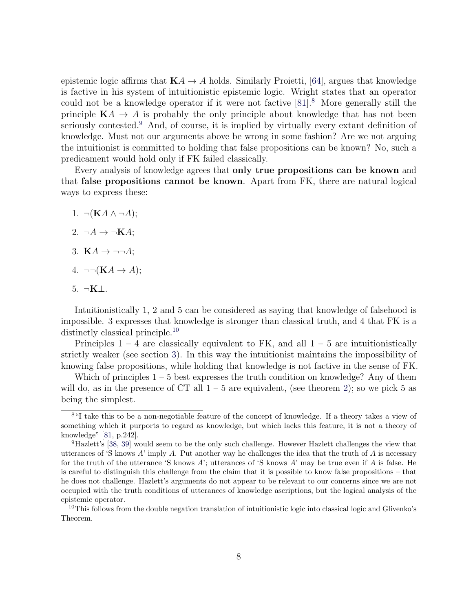<span id="page-8-3"></span>epistemic logic affirms that  $KA \rightarrow A$  holds. Similarly Proietti, [\[64\]](#page-36-13), argues that knowledge is factive in his system of intuitionistic epistemic logic. Wright states that an operator could not be a knowledge operator if it were not factive  $[81]$  $[81]$  $[81]$ <sup>8</sup>. More generally still the principle  $KA \rightarrow A$  is probably the only principle about knowledge that has not been seriously contested.<sup>[9](#page-8-1)</sup> And, of course, it is implied by virtually every extant definition of knowledge. Must not our arguments above be wrong in some fashion? Are we not arguing the intuitionist is committed to holding that false propositions can be known? No, such a predicament would hold only if FK failed classically.

Every analysis of knowledge agrees that only true propositions can be known and that false propositions cannot be known. Apart from FK, there are natural logical ways to express these:

- 1.  $\neg(KA \land \neg A);$
- 2.  $\neg A \rightarrow \neg KA;$
- 3. KA  $\rightarrow \neg\neg A$ ;
- 4.  $\neg\neg(KA \rightarrow A);$
- $5. \neg K \bot.$

Intuitionistically 1, 2 and 5 can be considered as saying that knowledge of falsehood is impossible. 3 expresses that knowledge is stronger than classical truth, and 4 that FK is a distinctly classical principle.[10](#page-8-2)

Principles  $1 - 4$  are classically equivalent to FK, and all  $1 - 5$  are intuitionistically strictly weaker (see section [3\)](#page-9-0). In this way the intuitionist maintains the impossibility of knowing false propositions, while holding that knowledge is not factive in the sense of FK.

Which of principles  $1 - 5$  best expresses the truth condition on knowledge? Any of them will do, as in the presence of CT all  $1-5$  are equivalent, (see theorem [2\)](#page-11-0); so we pick 5 as being the simplest.

<span id="page-8-0"></span><sup>8</sup>"I take this to be a non-negotiable feature of the concept of knowledge. If a theory takes a view of something which it purports to regard as knowledge, but which lacks this feature, it is not a theory of knowledge" [\[81,](#page-37-2) p.242].

<span id="page-8-1"></span><sup>9</sup>Hazlett's [\[38,](#page-34-10) [39\]](#page-34-11) would seem to be the only such challenge. However Hazlett challenges the view that utterances of 'S knows  $A'$  imply  $A$ . Put another way he challenges the idea that the truth of  $A$  is necessary for the truth of the utterance 'S knows A'; utterances of 'S knows A' may be true even if A is false. He is careful to distinguish this challenge from the claim that it is possible to know false propositions – that he does not challenge. Hazlett's arguments do not appear to be relevant to our concerns since we are not occupied with the truth conditions of utterances of knowledge ascriptions, but the logical analysis of the epistemic operator.

<span id="page-8-2"></span><sup>&</sup>lt;sup>10</sup>This follows from the double negation translation of intuitionistic logic into classical logic and Glivenko's Theorem.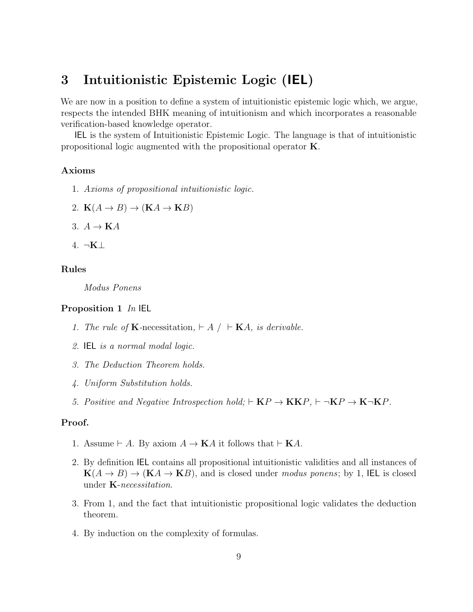# <span id="page-9-0"></span>3 Intuitionistic Epistemic Logic (IEL)

We are now in a position to define a system of intuitionistic epistemic logic which, we argue, respects the intended BHK meaning of intuitionism and which incorporates a reasonable verification-based knowledge operator.

IEL is the system of Intuitionistic Epistemic Logic. The language is that of intuitionistic propositional logic augmented with the propositional operator K.

#### Axioms

- 1. Axioms of propositional intuitionistic logic.
- 2.  $K(A \rightarrow B) \rightarrow (KA \rightarrow KB)$
- 3.  $A \rightarrow \mathbf{K}A$
- 4. ¬K⊥

#### Rules

Modus Ponens

#### Proposition 1 In IEL

- 1. The rule of **K**-necessitation,  $\vdash A \mid \vdash \mathbf{K}A$ , is derivable.
- 2. IEL is a normal modal logic.
- 3. The Deduction Theorem holds.
- 4. Uniform Substitution holds.
- 5. Positive and Negative Introspection hold;  $\vdash$  KP  $\rightarrow$  KKP,  $\vdash$   $\neg$ KP  $\rightarrow$  K $\neg$ KP.

#### Proof.

- 1. Assume  $\vdash A$ . By axiom  $A \to \mathbf{K}A$  it follows that  $\vdash \mathbf{K}A$ .
- 2. By definition IEL contains all propositional intuitionistic validities and all instances of  $K(A \rightarrow B) \rightarrow (KA \rightarrow KB)$ , and is closed under modus ponens; by 1, IEL is closed under K-necessitation.
- 3. From 1, and the fact that intuitionistic propositional logic validates the deduction theorem.
- 4. By induction on the complexity of formulas.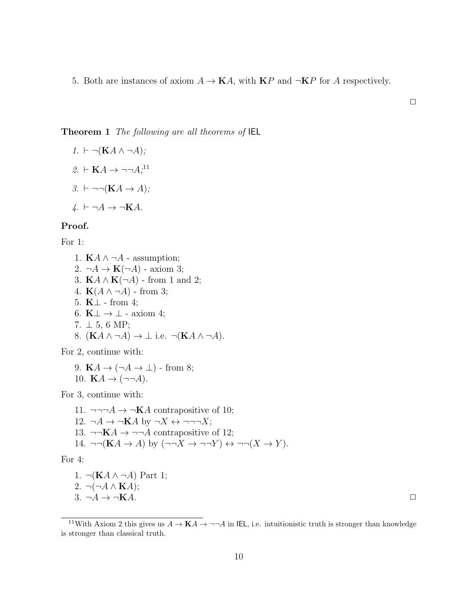5. Both are instances of axiom  $A \to \mathbf{K}A$ , with  $\mathbf{K}P$  and  $\neg \mathbf{K}P$  for A respectively.

#### <span id="page-10-1"></span>Theorem 1 The following are all theorems of IEL

1. 
$$
\vdash \neg(\mathbf{K}A \land \neg A);
$$
  
\n2.  $\vdash \mathbf{K}A \rightarrow \neg \neg A;^{11}$   
\n3.  $\vdash \neg \neg(\mathbf{K}A \rightarrow A);$   
\n4.  $\vdash \neg A \rightarrow \neg \mathbf{K}A.$ 

#### Proof.

For 1:

1.  $\mathbf{K}A \wedge \neg A$  - assumption; 2.  $\neg A \rightarrow \mathbf{K}(\neg A)$  - axiom 3; 3.  $\mathbf{K}A \wedge \mathbf{K}(\neg A)$  - from 1 and 2; 4.  $\mathbf{K}(A \wedge \neg A)$  - from 3; 5. K⊥ - from 4; 6.  $K \perp \rightarrow \perp$  - axiom 4; 7.  $\perp$  5, 6 MP; 8.  $(KA \wedge \neg A) \rightarrow \bot$  i.e.  $\neg(KA \wedge \neg A)$ .

For 2, continue with:

9. KA  $\rightarrow (\neg A \rightarrow \bot)$  - from 8; 10.  $KA \rightarrow (\neg\neg A)$ .

For 3, continue with:

11.  $\neg\neg\neg A \rightarrow \neg KA$  contrapositive of 10; 12.  $\neg A \rightarrow \neg KA$  by  $\neg X \leftrightarrow \neg \neg \neg X$ ; 13.  $\neg\neg \mathbf{K}A \rightarrow \neg\neg A$  contrapositive of 12; 14.  $\neg\neg(KA \rightarrow A)$  by  $(\neg\neg X \rightarrow \neg\neg Y) \leftrightarrow \neg\neg(X \rightarrow Y)$ .

For 4:

1. ¬(**K** $A \wedge \neg A$ ) Part 1; 2.  $\neg(\neg A \land \mathbf{K}A);$ 3.  $\neg A \rightarrow \neg \mathbf{K} A$ .

 $\Box$ 

<span id="page-10-0"></span><sup>&</sup>lt;sup>11</sup>With Axiom 2 this gives us  $A \rightarrow K A \rightarrow \neg \neg A$  in IEL, i.e. intuitionistic truth is stronger than knowledge is stronger than classical truth.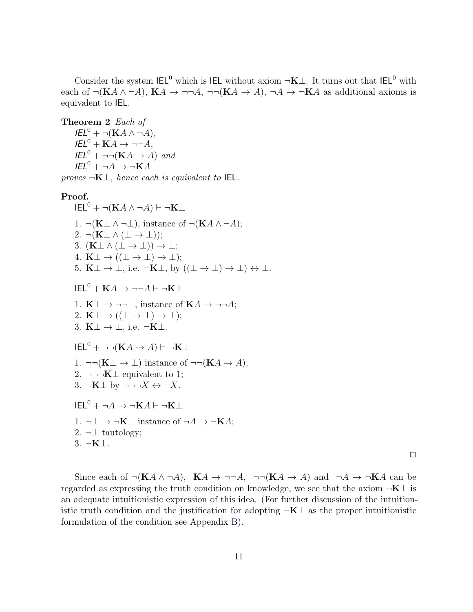Consider the system  $\text{IEL}^0$  which is IEL without axiom  $\neg K \bot$ . It turns out that IEL<sup>0</sup> with each of  $\neg(KA \land \neg A)$ ,  $KA \rightarrow \neg\neg A$ ,  $\neg\neg(KA \rightarrow A)$ ,  $\neg A \rightarrow \neg KA$  as additional axioms is equivalent to IEL.

<span id="page-11-0"></span>Theorem 2 Each of  $IEL^{0} + \neg(KA \wedge \neg A),$  $IEL^0 + KA \rightarrow \neg\neg A$ ,  $IEL^{0} + \neg\neg(KA \rightarrow A)$  and  $IEL^{0} + \neg A \rightarrow \neg KA$ 

proves  $\neg K\bot$ , hence each is equivalent to IEL.

#### Proof.

 $\mathsf{IEL}^0$  +  $\neg(\mathbf{K}A \land \neg A)$   $\vdash \neg \mathbf{K} \bot$ 1.  $\neg(K \perp \wedge \neg \perp)$ , instance of  $\neg(K A \wedge \neg A)$ ; 2.  $\neg(K \bot \wedge (\bot \rightarrow \bot));$ 3.  $(K \perp \wedge (\perp \rightarrow \perp)) \rightarrow \perp;$ 4. K $\perp \rightarrow ((\perp \rightarrow \perp) \rightarrow \perp);$ 5.  $K \perp \rightarrow \perp$ , i.e.  $\neg K \perp$ , by  $((\perp \rightarrow \perp) \rightarrow \perp) \leftrightarrow \perp$ .  $IEL^{0} + KA \rightarrow \neg\neg A \vdash \neg K \bot$ 1.  $K \perp \rightarrow \neg \neg \perp$ , instance of  $KA \rightarrow \neg \neg A$ ; 2. K $\perp \rightarrow ((\perp \rightarrow \perp) \rightarrow \perp);$ 3.  $K \perp \rightarrow \perp$ , i.e.  $\neg K \perp$ .  $IEE^0$  + ¬¬ $(KA \rightarrow A)$   $\vdash \neg K\bot$ 1. ¬¬ $(K \perp \rightarrow \perp)$  instance of ¬¬ $(KA \rightarrow A);$ 2. ¬¬¬ $K\perp$  equivalent to 1; 3.  $\neg K \perp$  by  $\neg\neg\neg X \leftrightarrow \neg X$ .  $\mathsf{IEL}^0$  +  $\neg A \rightarrow \neg \mathbf{K}A \vdash \neg \mathbf{K} \bot$ 1.  $\neg \bot \rightarrow \neg \mathbf{K} \bot$  instance of  $\neg A \rightarrow \neg \mathbf{K} A$ ; 2.  $\neg \bot$  tautology; 3. ¬K⊥.

 $\Box$ 

Since each of  $\neg(KA \land \neg A)$ ,  $KA \rightarrow \neg\neg A$ ,  $\neg\neg(KA \rightarrow A)$  and  $\neg A \rightarrow \neg KA$  can be regarded as expressing the truth condition on knowledge, we see that the axiom  $\neg K \bot$  is an adequate intuitionistic expression of this idea. (For further discussion of the intuitionistic truth condition and the justification for adopting  $\neg K\perp$  as the proper intuitionistic formulation of the condition see Appendix [B\)](#page-31-0).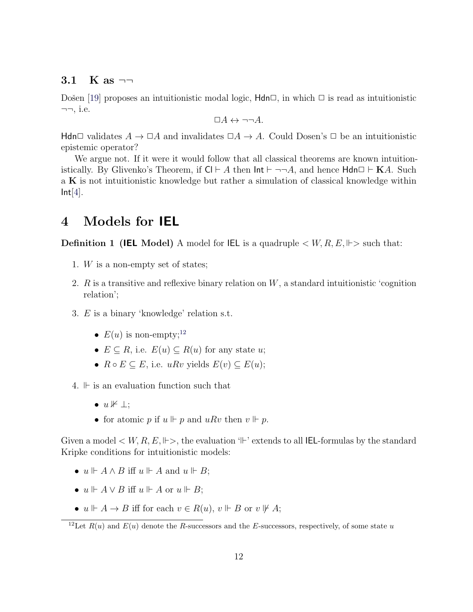### <span id="page-12-2"></span>3.1 K as  $\neg$

Došen [\[19\]](#page-33-12) proposes an intuitionistic modal logic,  $\mathsf{Hdn}\Box$ , in which  $\Box$  is read as intuitionistic  $\neg\neg$ , i.e.

$$
\Box A \leftrightarrow \neg\neg A.
$$

Hdn□ validates  $A \to \Box A$  and invalidates  $\Box A \to A$ . Could Dosen's  $\Box$  be an intuitionistic epistemic operator?

We argue not. If it were it would follow that all classical theorems are known intuitionistically. By Glivenko's Theorem, if  $Cl \vdash A$  then  $Int \vdash \neg \neg A$ , and hence  $H d n \Box \vdash K A$ . Such a K is not intuitionistic knowledge but rather a simulation of classical knowledge within  $Int[4]$  $Int[4]$ .

## <span id="page-12-0"></span>4 Models for IEL

**Definition 1 (IEL Model)** A model for IEL is a quadruple  $\lt W, R, E, \Vdash >$  such that:

- 1. W is a non-empty set of states;
- 2.  $R$  is a transitive and reflexive binary relation on  $W$ , a standard intuitionistic 'cognition relation';
- 3. E is a binary 'knowledge' relation s.t.
	- $E(u)$  is non-empty;<sup>[12](#page-12-1)</sup>
	- $E \subseteq R$ , i.e.  $E(u) \subseteq R(u)$  for any state u;
	- $R \circ E \subseteq E$ , i.e.  $u R v$  yields  $E(v) \subseteq E(u)$ ;
- 4.  $\mathbb{F}$  is an evaluation function such that
	- $u \nvDash \bot$ ;
	- for atomic p if  $u \Vdash p$  and  $uRv$  then  $v \Vdash p$ .

Given a model  $\lt W, R, E, \Vdash >$ , the evaluation ' $\Vdash$ ' extends to all IEL-formulas by the standard Kripke conditions for intuitionistic models:

- $u \Vdash A \land B$  iff  $u \Vdash A$  and  $u \Vdash B$ ;
- $u \Vdash A \vee B$  iff  $u \Vdash A$  or  $u \Vdash B$ ;
- $u \Vdash A \to B$  iff for each  $v \in R(u)$ ,  $v \Vdash B$  or  $v \not\Vdash A$ ;

<span id="page-12-1"></span><sup>&</sup>lt;sup>12</sup>Let  $R(u)$  and  $E(u)$  denote the R-successors and the E-successors, respectively, of some state u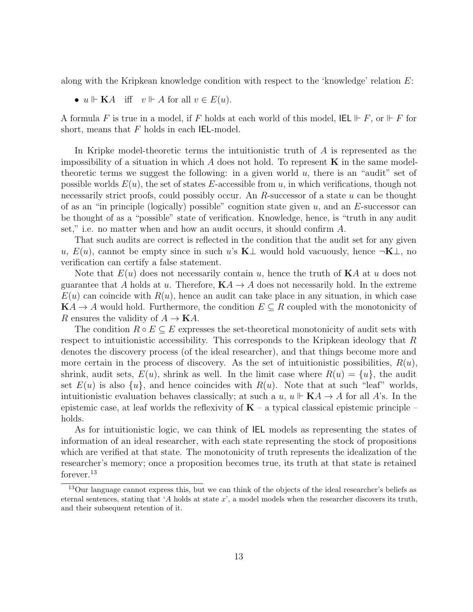along with the Kripkean knowledge condition with respect to the 'knowledge' relation E:

•  $u \Vdash \mathbf{K}A$  iff  $v \Vdash A$  for all  $v \in E(u)$ .

A formula F is true in a model, if F holds at each world of this model,  $\mathsf{IEL} \Vdash F$ , or  $\Vdash F$  for short, means that  $F$  holds in each IEL-model.

In Kripke model-theoretic terms the intuitionistic truth of A is represented as the impossibility of a situation in which  $A$  does not hold. To represent  $\bf{K}$  in the same modeltheoretic terms we suggest the following: in a given world  $u$ , there is an "audit" set of possible worlds  $E(u)$ , the set of states E-accessible from u, in which verifications, though not necessarily strict proofs, could possibly occur. An  $R$ -successor of a state  $u$  can be thought of as an "in principle (logically) possible" cognition state given  $u$ , and an E-successor can be thought of as a "possible" state of verification. Knowledge, hence, is "truth in any audit set," i.e. no matter when and how an audit occurs, it should confirm A.

That such audits are correct is reflected in the condition that the audit set for any given u,  $E(u)$ , cannot be empty since in such u's K $\perp$  would hold vacuously, hence  $\neg K\perp$ , no verification can certify a false statement.

Note that  $E(u)$  does not necessarily contain u, hence the truth of  $KA$  at u does not guarantee that A holds at u. Therefore,  $\mathbf{K}A \rightarrow A$  does not necessarily hold. In the extreme  $E(u)$  can coincide with  $R(u)$ , hence an audit can take place in any situation, in which case  $KA \rightarrow A$  would hold. Furthermore, the condition  $E \subseteq R$  coupled with the monotonicity of R ensures the validity of  $A \to \mathbf{K}A$ .

The condition  $R \circ E \subseteq E$  expresses the set-theoretical monotonicity of audit sets with respect to intuitionistic accessibility. This corresponds to the Kripkean ideology that R denotes the discovery process (of the ideal researcher), and that things become more and more certain in the process of discovery. As the set of intuitionistic possibilities,  $R(u)$ , shrink, audit sets,  $E(u)$ , shrink as well. In the limit case where  $R(u) = \{u\}$ , the audit set  $E(u)$  is also  $\{u\}$ , and hence coincides with  $R(u)$ . Note that at such "leaf" worlds, intuitionistic evaluation behaves classically; at such a  $u, u \Vdash **K**A \rightarrow A$  for all A's. In the epistemic case, at leaf worlds the reflexivity of  $\mathbf{K}$  – a typical classical epistemic principle – holds.

As for intuitionistic logic, we can think of IEL models as representing the states of information of an ideal researcher, with each state representing the stock of propositions which are verified at that state. The monotonicity of truth represents the idealization of the researcher's memory; once a proposition becomes true, its truth at that state is retained forever.[13](#page-13-0)

<span id="page-13-0"></span><sup>&</sup>lt;sup>13</sup>Our language cannot express this, but we can think of the objects of the ideal researcher's beliefs as eternal sentences, stating that 'A holds at state  $x$ ', a model models when the researcher discovers its truth, and their subsequent retention of it.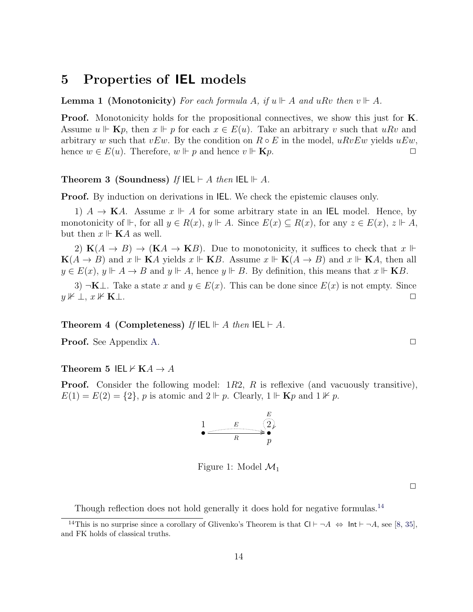## <span id="page-14-4"></span><span id="page-14-0"></span>5 Properties of IEL models

**Lemma 1** (Monotonicity) For each formula A, if  $u \Vdash A$  and  $uRv$  then  $v \Vdash A$ .

Proof. Monotonicity holds for the propositional connectives, we show this just for **K**. Assume  $u \Vdash \mathbf{K} p$ , then  $x \Vdash p$  for each  $x \in E(u)$ . Take an arbitrary v such that  $u R v$  and arbitrary w such that vEw. By the condition on  $R \circ E$  in the model,  $uRvEw$  yields  $uEw$ , hence  $w \in E(u)$ . Therefore,  $w \Vdash p$  and hence  $v \Vdash \mathbf{K}p$ .

#### Theorem 3 (Soundness) If  $\mathsf{IEL} \vdash A$  then  $\mathsf{IEL} \vdash A$ .

**Proof.** By induction on derivations in **IEL**. We check the epistemic clauses only.

1)  $A \to \mathbf{K}A$ . Assume  $x \Vdash A$  for some arbitrary state in an IEL model. Hence, by monotonicity of  $\mathbb{H}$ , for all  $y \in R(x)$ ,  $y \mathbb{H}$ . Since  $E(x) \subseteq R(x)$ , for any  $z \in E(x)$ ,  $z \mathbb{H}$ , but then  $x \Vdash$  **K***A* as well.

2)  $K(A \rightarrow B) \rightarrow (K\mathcal{A} \rightarrow K\mathcal{B})$ . Due to monotonicity, it suffices to check that  $x \Vdash$  $K(A \rightarrow B)$  and  $x \Vdash K A$  yields  $x \Vdash K B$ . Assume  $x \Vdash K(A \rightarrow B)$  and  $x \Vdash K A$ , then all  $y \in E(x)$ ,  $y \Vdash A \to B$  and  $y \Vdash A$ , hence  $y \Vdash B$ . By definition, this means that  $x \Vdash KB$ .

3) ¬K⊥. Take a state x and  $y \in E(x)$ . This can be done since  $E(x)$  is not empty. Since  $y \nvDash \bot, x \nvDash \mathbf{K} \bot.$ 

Theorem 4 (Completeness) If  $\mathsf{IEL} \Vdash A$  then  $\mathsf{IEL} \vdash A$ .

<span id="page-14-3"></span>**Proof.** See Appendix [A.](#page-28-0) ◯

#### Theorem 5 IEL  $\forall$  KA  $\rightarrow$  A

**Proof.** Consider the following model:  $1R2$ , R is reflexive (and vacuously transitive),  $E(1) = E(2) = \{2\}, p$  is atomic and  $2 \Vdash p$ . Clearly,  $1 \Vdash \mathbf{K} p$  and  $1 \nvDash p$ .

$$
\begin{array}{ccc}\n & E & E \\
\hline\n & R & p\n\end{array}
$$

Figure 1: Model  $\mathcal{M}_1$ 

 $\Box$ 

<span id="page-14-1"></span>Though reflection does not hold generally it does hold for negative formulas.<sup>[14](#page-14-1)</sup>

<span id="page-14-2"></span><sup>&</sup>lt;sup>14</sup>This is no surprise since a corollary of Glivenko's Theorem is that  $Cl \vdash \neg A \Leftrightarrow \text{Int} \vdash \neg A$ , see [\[8,](#page-32-7) [35\]](#page-34-12), and FK holds of classical truths.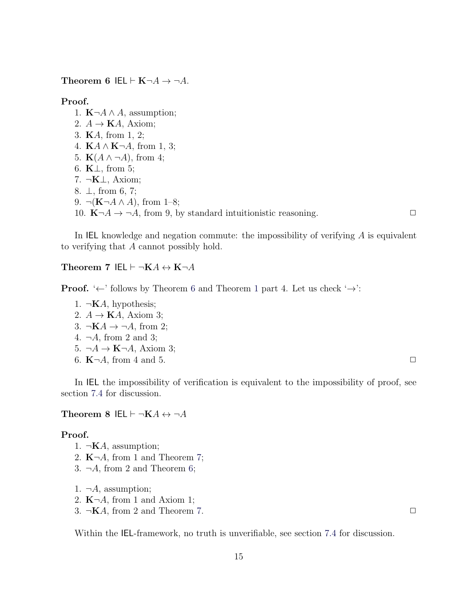Theorem 6 IEL  $\vdash$  K $\neg A \rightarrow \neg A$ .

#### Proof.

1.  $\mathbf{K} \neg A \wedge A$ , assumption;

- 2.  $A \rightarrow \mathbf{K}A$ , Axiom;
- 3. KA, from 1, 2;
- 4.  $\mathbf{K}A \wedge \mathbf{K} \neg A$ , from 1, 3;
- 5.  $\mathbf{K}(A \wedge \neg A)$ , from 4;
- 6. K⊥, from 5;
- 7. ¬K⊥, Axiom;
- 8. ⊥, from 6, 7;
- 9.  $\neg(K\neg A \land A)$ , from 1–8;
- 10.  $\mathbf{K} \neg A \rightarrow \neg A$ , from 9, by standard intuitionistic reasoning.

In IEL knowledge and negation commute: the impossibility of verifying A is equivalent to verifying that A cannot possibly hold.

<span id="page-15-0"></span>Theorem 7 IEL  $\vdash \neg K A \leftrightarrow K \neg A$ 

**Proof.** ' $\leftarrow$ ' follows by Theorem [6](#page-14-2) and Theorem [1](#page-10-1) part 4. Let us check ' $\rightarrow$ ':

- 1.  $\neg$ **K***A*, hypothesis;
- 2.  $A \rightarrow \mathbf{K}A$ , Axiom 3;
- 3.  $\neg K A \rightarrow \neg A$ , from 2;
- 4.  $\neg A$ , from 2 and 3;
- 5.  $\neg A \rightarrow \mathbf{K}\neg A$ , Axiom 3;
- 6.  $K\neg A$ , from 4 and 5.

In IEL the impossibility of verification is equivalent to the impossibility of proof, see section [7.4](#page-26-0) for discussion.

<span id="page-15-1"></span>Theorem 8 IEL  $\vdash \neg K A \leftrightarrow \neg A$ 

#### Proof.

- 1.  $\neg$ **K***A*, assumption;
- 2.  $K\neg A$ , from 1 and Theorem [7;](#page-15-0)
- 3.  $\neg A$ , from 2 and Theorem [6;](#page-14-2)

1.  $\neg A$ , assumption;

- 2.  $K\neg A$ , from 1 and Axiom 1;
- 3.  $\neg$ **K***A*, from 2 and Theorem [7.](#page-15-0)

<span id="page-15-2"></span>Within the IEL-framework, no truth is unverifiable, see section [7.4](#page-26-0) for discussion.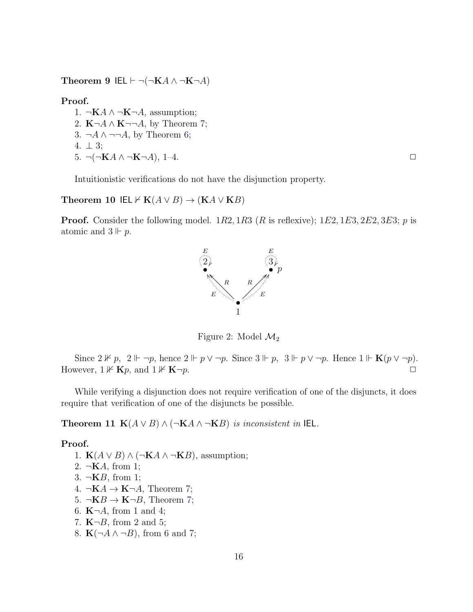Theorem 9 IEL  $\vdash \neg(\neg K A \land \neg K \neg A)$ 

Proof.

1. ¬KA  $\land$  ¬K¬A, assumption; 2.  $K\neg A \wedge K\neg\neg A$ , by Theorem [7;](#page-15-0) 3. ¬ $A \wedge \neg\neg A$ , by Theorem [6;](#page-14-2) 4.  $\perp$  3;  $5. \ \neg(\neg \mathbf{K} A \land \neg \mathbf{K} \neg A), \ 1-4.$ 

Intuitionistic verifications do not have the disjunction property.

#### <span id="page-16-0"></span>Theorem 10 IEL  $\forall$  K( $A \lor B$ )  $\rightarrow$  (K $A \lor KB$ )

**Proof.** Consider the following model.  $1R2, 1R3$  (R is reflexive);  $1E2, 1E3, 2E2, 3E3$ ; p is atomic and  $3 \Vdash p$ .



Figure 2: Model  $\mathcal{M}_2$ 

Since  $2 \nVdash p$ ,  $2 \Vdash \neg p$ , hence  $2 \Vdash p \lor \neg p$ . Since  $3 \Vdash p$ ,  $3 \Vdash p \lor \neg p$ . Hence  $1 \Vdash \mathbf{K}(p \lor \neg p)$ . However,  $1 \nVdash$  **K** $p$ , and  $1 \nVdash$  **K** $\neg p$ .

While verifying a disjunction does not require verification of one of the disjuncts, it does require that verification of one of the disjuncts be possible.

Theorem 11 K( $A \vee B$ )  $\wedge (\neg K A \wedge \neg K B)$  is inconsistent in IEL.

#### Proof.

- 1. **K** $(A \vee B) \wedge (\neg \mathbf{K} A \wedge \neg \mathbf{K} B)$ , assumption; 2.  $\neg$ **K***A*, from 1; 3.  $\neg$ **K***B*, from 1; 4.  $\neg$ **K** $A \rightarrow$ **K** $\neg$  $A$ , Theorem [7;](#page-15-0) 5.  $\neg$ **K** $B \rightarrow$ **K** $\neg$ *B*, Theorem [7;](#page-15-0) 6.  $K\neg A$ , from 1 and 4; 7.  $K\neg B$ , from 2 and 5;
- 8.  $\mathbf{K}(\neg A \wedge \neg B)$ , from 6 and 7;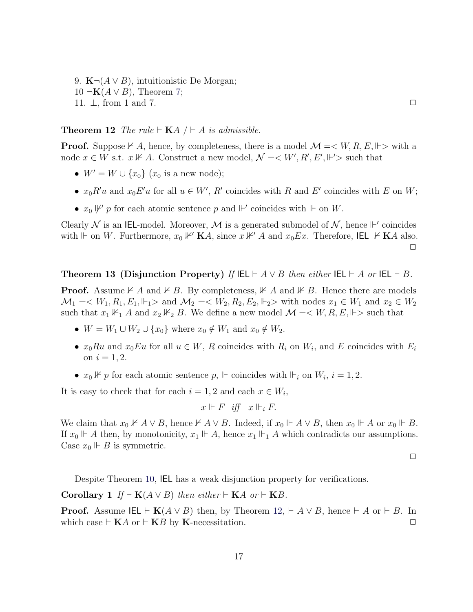9. **K** $\neg$ (*A* ∨ *B*), intuitionistic De Morgan; 10 ¬**K** $(A ∨ B)$ , Theorem [7;](#page-15-0) 11.  $\perp$ , from 1 and 7.  $\Box$ 

<span id="page-17-0"></span>**Theorem 12** The rule  $\vdash$  **K**A  $\mid \vdash$  A is admissible.

**Proof.** Suppose  $\nvdash A$ , hence, by completeness, there is a model  $\mathcal{M} = \langle W, R, E, \Vdash \rangle$  with a node  $x \in W$  s.t.  $x \not\vdash A$ . Construct a new model,  $\mathcal{N} = \langle W', R', E', \Vdash' \rangle$  such that

- $W' = W \cup \{x_0\}$   $(x_0 \text{ is a new node});$
- $x_0 R'u$  and  $x_0 E'u$  for all  $u \in W'$ , R' coincides with R and E' coincides with E on W;
- $x_0 \not\vdash' p$  for each atomic sentence p and  $\vdash'$  coincides with  $\vdash$  on W.

Clearly N is an IEL-model. Moreover, M is a generated submodel of N, hence  $\mathbb{H}'$  coincides with  $\Vdash$  on W. Furthermore,  $x_0 \nvDash' \mathbf{K}A$ , since  $x \nvDash' A$  and  $x_0 Ex$ . Therefore, IEL  $\nvdash \mathbf{K}A$  also.  $\Box$ 

#### Theorem 13 (Disjunction Property) If  $\mathsf{IEL} \vdash A \lor B$  then either  $\mathsf{IEL} \vdash A$  or  $\mathsf{IEL} \vdash B$ .

**Proof.** Assume  $\nvdash A$  and  $\nvdash B$ . By completeness,  $\not\Vdash A$  and  $\not\Vdash B$ . Hence there are models  $\mathcal{M}_1 = \langle W_1, R_1, E_1, \Vdash_1 \rangle$  and  $\mathcal{M}_2 = \langle W_2, R_2, E_2, \Vdash_2 \rangle$  with nodes  $x_1 \in W_1$  and  $x_2 \in W_2$ such that  $x_1 \nVdash_1 A$  and  $x_2 \nVdash_2 B$ . We define a new model  $\mathcal{M} = \langle W, R, E, \Vdash \rangle$  such that

- $W = W_1 \cup W_2 \cup \{x_0\}$  where  $x_0 \notin W_1$  and  $x_0 \notin W_2$ .
- $x_0Ru$  and  $x_0Eu$  for all  $u \in W$ , R coincides with  $R_i$  on  $W_i$ , and E coincides with  $E_i$ on  $i = 1, 2$ .
- $x_0 \nVdash p$  for each atomic sentence  $p, \Vdash$  coincides with  $\Vdash_i$  on  $W_i$ ,  $i = 1, 2$ .

It is easy to check that for each  $i = 1, 2$  and each  $x \in W_i$ ,

$$
x\Vdash F\ \textit{iff}\ \ x\Vdash_i F.
$$

We claim that  $x_0 \nVdash A \vee B$ , hence  $\nvdash A \vee B$ . Indeed, if  $x_0 \Vdash A \vee B$ , then  $x_0 \Vdash A$  or  $x_0 \Vdash B$ . If  $x_0 \Vdash A$  then, by monotonicity,  $x_1 \Vdash A$ , hence  $x_1 \Vdash A$  which contradicts our assumptions. Case  $x_0 \Vdash B$  is symmetric.

 $\Box$ 

Despite Theorem [10,](#page-16-0) IEL has a weak disjunction property for verifications.

Corollary 1 If  $\vdash$  K(A  $\vee$  B) then either  $\vdash$  KA or  $\vdash$  KB.

**Proof.** Assume IEL  $\vdash$  K( $A \lor B$ ) then, by Theorem [12,](#page-17-0)  $\vdash A \lor B$ , hence  $\vdash A$  or  $\vdash B$ . In which case  $\vdash$  KA or  $\vdash$  KB by K-necessitation.  $\Box$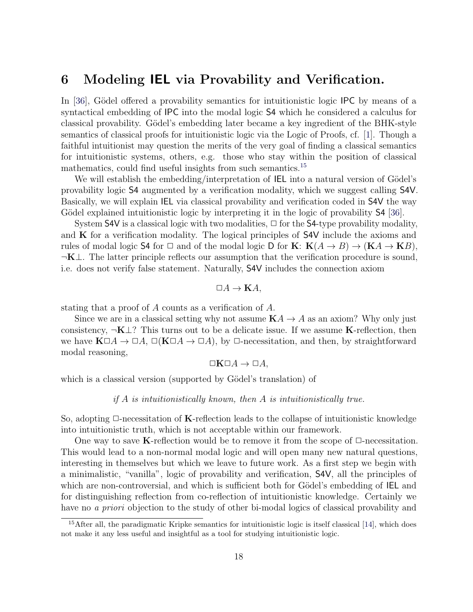## <span id="page-18-2"></span><span id="page-18-0"></span>6 Modeling IEL via Provability and Verification.

In [\[36\]](#page-34-8), Gödel offered a provability semantics for intuitionistic logic IPC by means of a syntactical embedding of IPC into the modal logic S4 which he considered a calculus for classical provability. Gödel's embedding later became a key ingredient of the BHK-style semantics of classical proofs for intuitionistic logic via the Logic of Proofs, cf. [\[1\]](#page-32-5). Though a faithful intuitionist may question the merits of the very goal of finding a classical semantics for intuitionistic systems, others, e.g. those who stay within the position of classical mathematics, could find useful insights from such semantics.<sup>[15](#page-18-1)</sup>

We will establish the embedding/interpretation of IEL into a natural version of Gödel's provability logic S4 augmented by a verification modality, which we suggest calling S4V. Basically, we will explain IEL via classical provability and verification coded in S4V the way Gödel explained intuitionistic logic by interpreting it in the logic of provability S4 [\[36\]](#page-34-8).

System S4V is a classical logic with two modalities,  $\Box$  for the S4-type provability modality, and  $\bf{K}$  for a verification modality. The logical principles of  $S4V$  include the axioms and rules of modal logic S4 for  $\Box$  and of the modal logic D for  $\mathbf{K}$ :  $\mathbf{K}(A \rightarrow B) \rightarrow (\mathbf{K}A \rightarrow \mathbf{K}B)$ ,  $\neg K\bot$ . The latter principle reflects our assumption that the verification procedure is sound, i.e. does not verify false statement. Naturally, S4V includes the connection axiom

$$
\Box A \to \mathbf{K}A,
$$

stating that a proof of A counts as a verification of A.

Since we are in a classical setting why not assume  $KA \rightarrow A$  as an axiom? Why only just consistency,  $\neg K \bot$ ? This turns out to be a delicate issue. If we assume K-reflection, then we have  $K\square A \to \square A$ ,  $\square(K\square A \to \square A)$ , by  $\square$ -necessitation, and then, by straightforward modal reasoning,

$$
\Box \mathbf{K} \Box A \to \Box A,
$$

which is a classical version (supported by Gödel's translation) of

if  $A$  is intuitionistically known, then  $A$  is intuitionistically true.

So, adopting  $\Box$ -necessitation of **K**-reflection leads to the collapse of intuitionistic knowledge into intuitionistic truth, which is not acceptable within our framework.

One way to save K-reflection would be to remove it from the scope of  $\Box$ -necessitation. This would lead to a non-normal modal logic and will open many new natural questions, interesting in themselves but which we leave to future work. As a first step we begin with a minimalistic, "vanilla", logic of provability and verification, S4V, all the principles of which are non-controversial, and which is sufficient both for Gödel's embedding of IEL and for distinguishing reflection from co-reflection of intuitionistic knowledge. Certainly we have no a priori objection to the study of other bi-modal logics of classical provability and

<span id="page-18-1"></span><sup>&</sup>lt;sup>15</sup>After all, the paradigmatic Kripke semantics for intuitionistic logic is itself classical [\[14\]](#page-33-0), which does not make it any less useful and insightful as a tool for studying intuitionistic logic.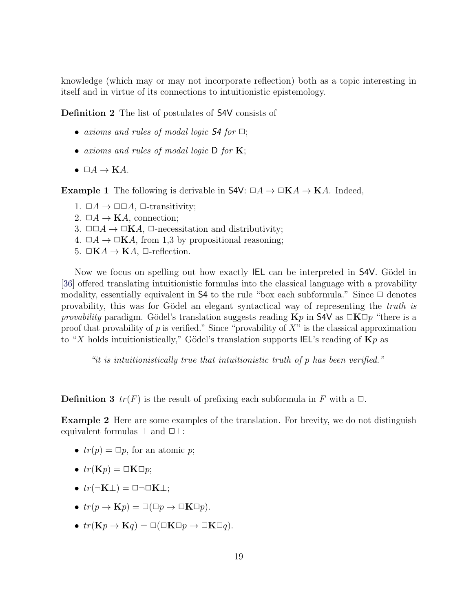knowledge (which may or may not incorporate reflection) both as a topic interesting in itself and in virtue of its connections to intuitionistic epistemology.

Definition 2 The list of postulates of S4V consists of

- axioms and rules of modal logic  $\mathsf{S4}$  for  $\Box$ ;
- axioms and rules of modal logic  $D$  for  $K$ ;
- $\Box A \rightarrow \mathbf{K}A$ .

<span id="page-19-0"></span>**Example 1** The following is derivable in  $S4V: \Box A \rightarrow \Box KA \rightarrow KA$ . Indeed,

- 1.  $\Box A \rightarrow \Box \Box A$ ,  $\Box$ -transitivity;
- 2.  $\Box A \rightarrow \mathbf{K}A$ , connection;
- 3.  $\Box \Box A \rightarrow \Box \mathbf{K}A$ ,  $\Box$ -necessitation and distributivity;
- 4.  $\Box A \rightarrow \Box \mathbf{K}A$ , from 1,3 by propositional reasoning;
- 5.  $\Box$ KA  $\rightarrow$  KA,  $\Box$ -reflection.

Now we focus on spelling out how exactly IEL can be interpreted in S4V. Gödel in [\[36\]](#page-34-8) offered translating intuitionistic formulas into the classical language with a provability modality, essentially equivalent in  $S4$  to the rule "box each subformula." Since  $\square$  denotes provability, this was for Gödel an elegant syntactical way of representing the truth is provability paradigm. Gödel's translation suggests reading  $Kp$  in S4V as  $\Box K\Box p$  "there is a proof that provability of p is verified." Since "provability of  $X$ " is the classical approximation to "X holds intuitionistically," Gödel's translation supports IEL's reading of  $\mathbf{K}p$  as

"it is intuitionistically true that intuitionistic truth of p has been verified."

**Definition 3**  $tr(F)$  is the result of prefixing each subformula in F with a  $\Box$ .

Example 2 Here are some examples of the translation. For brevity, we do not distinguish equivalent formulas  $\perp$  and  $\Box \perp$ :

- $tr(p) = \Box p$ , for an atomic p;
- $tr(\mathbf{K}p) = \Box \mathbf{K} \Box p$ ;
- $tr(\neg K \bot) = \Box \neg \Box K \bot;$
- $tr(p \to \mathbf{K}p) = \Box(\Box p \to \Box \mathbf{K} \Box p).$
- $tr(\mathbf{K}p \to \mathbf{K}q) = \Box(\Box \mathbf{K} \Box p \to \Box \mathbf{K} \Box q).$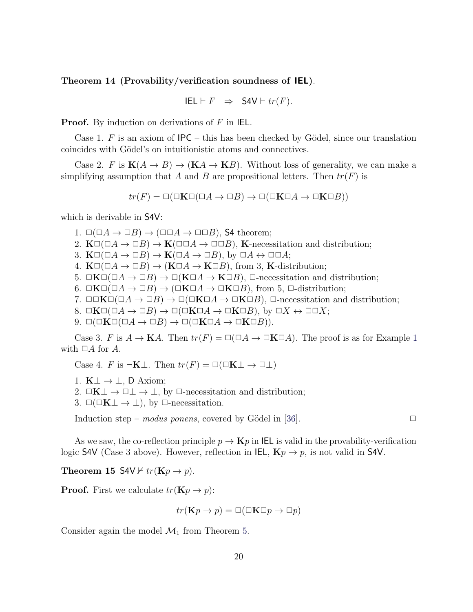<span id="page-20-0"></span>Theorem 14 (Provability/verification soundness of IEL).

$$
IEL \vdash F \;\; \Rightarrow \;\; \mathsf{SAV} \vdash tr(F).
$$

**Proof.** By induction on derivations of  $F$  in IEL.

Case 1. F is an axiom of  $IPC$  – this has been checked by Gödel, since our translation coincides with Gödel's on intuitionistic atoms and connectives.

Case 2. F is  $K(A \to B) \to (K A \to K B)$ . Without loss of generality, we can make a simplifying assumption that A and B are propositional letters. Then  $tr(F)$  is

$$
tr(F) = \Box(\Box K \Box (\Box A \to \Box B) \to \Box(\Box K \Box A \to \Box K \Box B))
$$

which is derivable in S4V:

- 1.  $\square(\square A\rightarrow\square B)\rightarrow (\square\square A\rightarrow\square\square B)$ , S4 theorem;
- 2.  $\mathbf{K}\Box(\Box A\rightarrow\Box B)\rightarrow\mathbf{K}(\Box\Box A\rightarrow\Box\Box B)$ , K-necessitation and distribution;
- 3.  $K\square(\square A\rightarrow\square B)\rightarrow K(\square A\rightarrow\square B)$ , by  $\square A\leftrightarrow\square\square A$ ;
- 4.  $K\square(\square A\rightarrow\square B)\rightarrow (K\square A\rightarrow K\square B)$ , from 3, K-distribution;
- 5.  $\Box K\Box(\Box A\rightarrow\Box B)\rightarrow \Box(K\Box A\rightarrow K\Box B)$ ,  $\Box$ -necessitation and distribution;
- 6.  $\Box K\Box(\Box A \rightarrow \Box B) \rightarrow (\Box K\Box A \rightarrow \Box K\Box B)$ , from 5,  $\Box$ -distribution;
- 7.  $\Box\Box K\Box(\Box A\rightarrow \Box B)\rightarrow \Box(\Box K\Box A\rightarrow \Box K\Box B)$ ,  $\Box$ -necessitation and distribution;
- 8.  $\Box K\Box(\Box A \rightarrow \Box B) \rightarrow \Box(\Box K\Box A \rightarrow \Box K\Box B)$ , by  $\Box X \leftrightarrow \Box \Box X$ ;
- 9.  $\Box(\Box K\Box(\Box A\rightarrow \Box B)\rightarrow \Box(\Box K\Box A\rightarrow \Box K\Box B)).$

Case 3. F is  $A \to \mathbf{K}A$ . Then  $tr(F) = \Box(\Box A \to \Box \mathbf{K} \Box A)$ . The proof is as for Example [1](#page-19-0) with  $\Box A$  for A.

Case 4. F is  $\neg K \bot$ . Then  $tr(F) = \Box(\Box K \bot \rightarrow \Box \bot)$ 

- 1.  $K \perp \rightarrow \perp$ , D Axiom;
- 2.  $\Box K \bot \rightarrow \Box \bot \rightarrow \bot$ , by  $\Box$ -necessitation and distribution;
- 3.  $\Box(\Box K\bot \rightarrow \bot)$ , by  $\Box$ -necessitation.

Induction step – modus ponens, covered by Gödel in [\[36\]](#page-34-8).  $\Box$ 

As we saw, the co-reflection principle  $p \to \mathbf{K}p$  in IEL is valid in the provability-verification logic S4V (Case 3 above). However, reflection in IEL,  $\mathbf{K}p \to p$ , is not valid in S4V.

Theorem 15 S4V  $\forall$  tr(Kp  $\rightarrow$  p).

**Proof.** First we calculate  $tr(\mathbf{K}p \to p)$ :

$$
tr(\mathbf{K}p \to p) = \Box(\Box \mathbf{K} \Box p \to \Box p)
$$

Consider again the model  $\mathcal{M}_1$  from Theorem [5.](#page-14-3)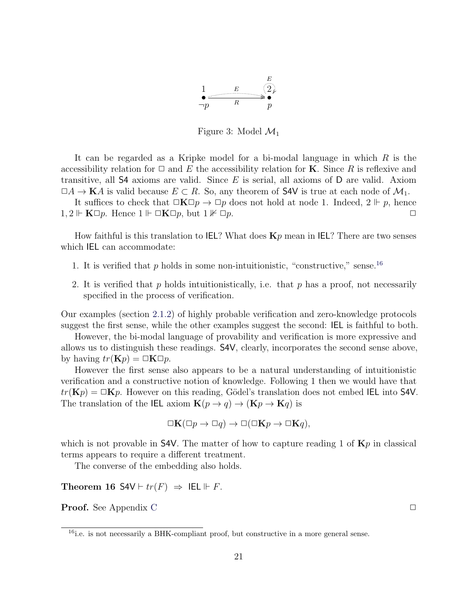

Figure 3: Model  $\mathcal{M}_1$ 

It can be regarded as a Kripke model for a bi-modal language in which  $R$  is the accessibility relation for  $\Box$  and E the accessibility relation for **K**. Since R is reflexive and transitive, all  $\mathsf{S4}$  axioms are valid. Since E is serial, all axioms of D are valid. Axiom  $\Box A \to \mathbf{K}A$  is valid because  $E \subset R$ . So, any theorem of S4V is true at each node of  $\mathcal{M}_1$ .

It suffices to check that  $\Box K \Box p \rightarrow \Box p$  does not hold at node 1. Indeed,  $2 \Vdash p$ , hence  $1, 2 \Vdash \mathbf{K} \Box p$ . Hence  $1 \Vdash \Box \mathbf{K} \Box p$ , but  $1 \nvDash \Box p$ .

How faithful is this translation to IEL? What does  $\mathbf{K}p$  mean in IEL? There are two senses which IEL can accommodate:

- 1. It is verified that  $p$  holds in some non-intuitionistic, "constructive," sense.<sup>[16](#page-21-0)</sup>
- 2. It is verified that p holds intuitionistically, i.e. that p has a proof, not necessarily specified in the process of verification.

Our examples (section [2.1.2\)](#page-6-0) of highly probable verification and zero-knowledge protocols suggest the first sense, while the other examples suggest the second: IEL is faithful to both.

However, the bi-modal language of provability and verification is more expressive and allows us to distinguish these readings. S4V, clearly, incorporates the second sense above, by having  $tr(\mathbf{K}p) = \Box \mathbf{K} \Box p$ .

However the first sense also appears to be a natural understanding of intuitionistic verification and a constructive notion of knowledge. Following 1 then we would have that  $tr(\mathbf{K}p) = \Box \mathbf{K}p$ . However on this reading, Gödel's translation does not embed IEL into S4V. The translation of the IEL axiom  $\mathbf{K}(p \to q) \to (\mathbf{K}p \to \mathbf{K}q)$  is

$$
\Box \mathbf{K}(\Box p \to \Box q) \to \Box (\Box \mathbf{K} p \to \Box \mathbf{K} q),
$$

which is not provable in S4V. The matter of how to capture reading 1 of  $Kp$  in classical terms appears to require a different treatment.

The converse of the embedding also holds.

Theorem 16 S4V  $\vdash tr(F) \Rightarrow$  IEL  $\Vdash F$ .

**Proof.** See Appendix [C](#page-31-1)  $\Box$ 

<span id="page-21-0"></span><sup>&</sup>lt;sup>16</sup>i.e. is not necessarily a BHK-compliant proof, but constructive in a more general sense.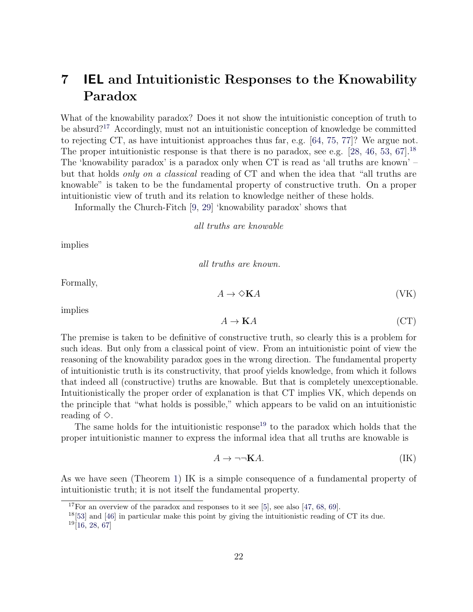# <span id="page-22-4"></span><span id="page-22-0"></span>7 IEL and Intuitionistic Responses to the Knowability Paradox

What of the knowability paradox? Does it not show the intuitionistic conception of truth to be absurd?[17](#page-22-1) Accordingly, must not an intuitionistic conception of knowledge be committed to rejecting CT, as have intuitionist approaches thus far, e.g. [\[64,](#page-36-13) [75,](#page-36-11) [77\]](#page-36-0)? We argue not. The proper intuitionistic response is that there is no paradox, see e.g.  $[28, 46, 53, 67]$  $[28, 46, 53, 67]$  $[28, 46, 53, 67]$  $[28, 46, 53, 67]$  $[28, 46, 53, 67]$  $[28, 46, 53, 67]$ .<sup>[18](#page-22-2)</sup> The 'knowability paradox' is a paradox only when CT is read as 'all truths are known' – but that holds only on a classical reading of CT and when the idea that "all truths are knowable" is taken to be the fundamental property of constructive truth. On a proper intuitionistic view of truth and its relation to knowledge neither of these holds.

Informally the Church-Fitch [\[9,](#page-32-8) [29\]](#page-34-13) 'knowability paradox' shows that

all truths are knowable

implies

all truths are known.

Formally,

implies

$$
A \to \mathbf{K}A \tag{CT}
$$

 $A \to \Diamond \mathbf{K} A$  (VK)

The premise is taken to be definitive of constructive truth, so clearly this is a problem for such ideas. But only from a classical point of view. From an intuitionistic point of view the reasoning of the knowability paradox goes in the wrong direction. The fundamental property of intuitionistic truth is its constructivity, that proof yields knowledge, from which it follows that indeed all (constructive) truths are knowable. But that is completely unexceptionable. Intuitionistically the proper order of explanation is that CT implies VK, which depends on the principle that "what holds is possible," which appears to be valid on an intuitionistic reading of  $\diamond$ .

The same holds for the intuitionistic response<sup>[19](#page-22-3)</sup> to the paradox which holds that the proper intuitionistic manner to express the informal idea that all truths are knowable is

$$
A \to \neg \neg \mathbf{K} A. \tag{IK}
$$

As we have seen (Theorem [1\)](#page-10-1) IK is a simple consequence of a fundamental property of intuitionistic truth; it is not itself the fundamental property.

<span id="page-22-1"></span><sup>&</sup>lt;sup>17</sup>For an overview of the paradox and responses to it see [\[5\]](#page-32-9), see also [\[47,](#page-35-15) [68,](#page-36-15) [69\]](#page-36-16).

<span id="page-22-2"></span> $^{18}[53]$  $^{18}[53]$  and [\[46\]](#page-35-11) in particular make this point by giving the intuitionistic reading of CT its due.

<span id="page-22-3"></span> $19$ [\[16,](#page-33-14) [28,](#page-33-13) [67\]](#page-36-14)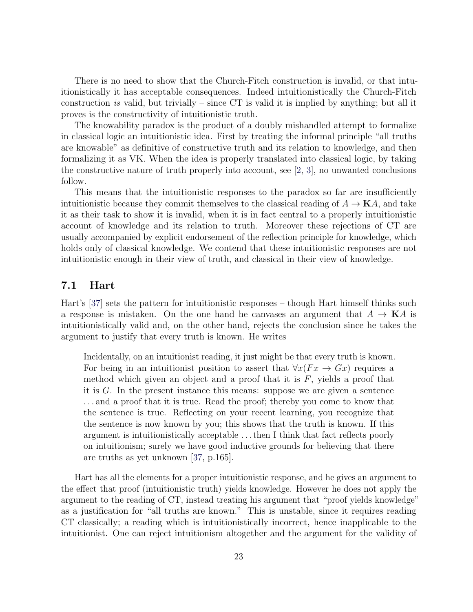<span id="page-23-0"></span>There is no need to show that the Church-Fitch construction is invalid, or that intuitionistically it has acceptable consequences. Indeed intuitionistically the Church-Fitch construction is valid, but trivially – since  $CT$  is valid it is implied by anything; but all it proves is the constructivity of intuitionistic truth.

The knowability paradox is the product of a doubly mishandled attempt to formalize in classical logic an intuitionistic idea. First by treating the informal principle "all truths are knowable" as definitive of constructive truth and its relation to knowledge, and then formalizing it as VK. When the idea is properly translated into classical logic, by taking the constructive nature of truth properly into account, see [\[2,](#page-32-10) [3\]](#page-32-11), no unwanted conclusions follow.

This means that the intuitionistic responses to the paradox so far are insufficiently intuitionistic because they commit themselves to the classical reading of  $A \to \mathbf{K}A$ , and take it as their task to show it is invalid, when it is in fact central to a properly intuitionistic account of knowledge and its relation to truth. Moreover these rejections of CT are usually accompanied by explicit endorsement of the reflection principle for knowledge, which holds only of classical knowledge. We contend that these intuitionistic responses are not intuitionistic enough in their view of truth, and classical in their view of knowledge.

### 7.1 Hart

Hart's [\[37\]](#page-34-7) sets the pattern for intuitionistic responses – though Hart himself thinks such a response is mistaken. On the one hand he canvases an argument that  $A \to \mathbf{K}A$  is intuitionistically valid and, on the other hand, rejects the conclusion since he takes the argument to justify that every truth is known. He writes

Incidentally, on an intuitionist reading, it just might be that every truth is known. For being in an intuitionist position to assert that  $\forall x (Fx \rightarrow Gx)$  requires a method which given an object and a proof that it is  $F$ , yields a proof that it is G. In the present instance this means: suppose we are given a sentence . . . and a proof that it is true. Read the proof; thereby you come to know that the sentence is true. Reflecting on your recent learning, you recognize that the sentence is now known by you; this shows that the truth is known. If this argument is intuitionistically acceptable . . . then I think that fact reflects poorly on intuitionism; surely we have good inductive grounds for believing that there are truths as yet unknown [\[37,](#page-34-7) p.165].

Hart has all the elements for a proper intuitionistic response, and he gives an argument to the effect that proof (intuitionistic truth) yields knowledge. However he does not apply the argument to the reading of CT, instead treating his argument that "proof yields knowledge" as a justification for "all truths are known." This is unstable, since it requires reading CT classically; a reading which is intuitionistically incorrect, hence inapplicable to the intuitionist. One can reject intuitionism altogether and the argument for the validity of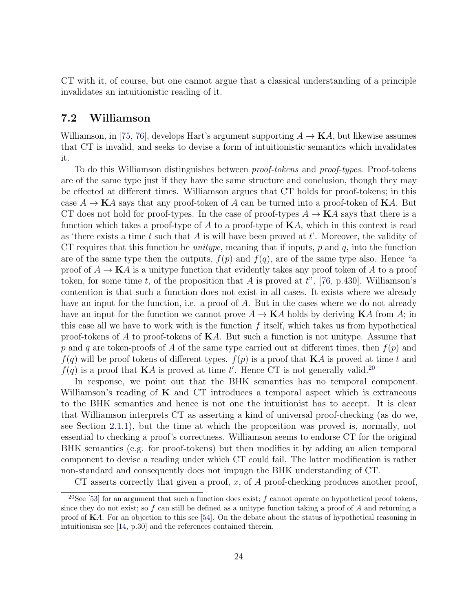<span id="page-24-1"></span>CT with it, of course, but one cannot argue that a classical understanding of a principle invalidates an intuitionistic reading of it.

### 7.2 Williamson

Williamson, in [\[75,](#page-36-11) [76\]](#page-36-12), develops Hart's argument supporting  $A \to \mathbf{K}A$ , but likewise assumes that CT is invalid, and seeks to devise a form of intuitionistic semantics which invalidates it.

To do this Williamson distinguishes between proof-tokens and proof-types. Proof-tokens are of the same type just if they have the same structure and conclusion, though they may be effected at different times. Williamson argues that CT holds for proof-tokens; in this case  $A \to \mathbf{K}A$  says that any proof-token of A can be turned into a proof-token of  $\mathbf{K}A$ . But CT does not hold for proof-types. In the case of proof-types  $A \to \mathbf{K}A$  says that there is a function which takes a proof-type of A to a proof-type of  $\mathbf{K}A$ , which in this context is read as 'there exists a time t such that  $A$  is will have been proved at  $t'$ . Moreover, the validity of CT requires that this function be *unitype*, meaning that if inputs,  $p$  and  $q$ , into the function are of the same type then the outputs,  $f(p)$  and  $f(q)$ , are of the same type also. Hence "a proof of  $A \to \mathbf{K}A$  is a unitype function that evidently takes any proof token of A to a proof token, for some time t, of the proposition that A is proved at  $t^{\prime\prime}$ , [\[76,](#page-36-12) p.430]. Williamson's contention is that such a function does not exist in all cases. It exists where we already have an input for the function, i.e. a proof of A. But in the cases where we do not already have an input for the function we cannot prove  $A \to \mathbf{K}A$  holds by deriving  $\mathbf{K}A$  from A; in this case all we have to work with is the function  $f$  itself, which takes us from hypothetical proof-tokens of A to proof-tokens of  $\mathbf{K}A$ . But such a function is not unitype. Assume that p and q are token-proofs of A of the same type carried out at different times, then  $f(p)$  and  $f(q)$  will be proof tokens of different types.  $f(p)$  is a proof that **K**A is proved at time t and  $f(q)$  is a proof that **K**A is proved at time t'. Hence CT is not generally valid.<sup>[20](#page-24-0)</sup>

In response, we point out that the BHK semantics has no temporal component. Williamson's reading of  $K$  and CT introduces a temporal aspect which is extraneous to the BHK semantics and hence is not one the intuitionist has to accept. It is clear that Williamson interprets CT as asserting a kind of universal proof-checking (as do we, see Section [2.1.1\)](#page-5-3), but the time at which the proposition was proved is, normally, not essential to checking a proof's correctness. Williamson seems to endorse CT for the original BHK semantics (e.g. for proof-tokens) but then modifies it by adding an alien temporal component to devise a reading under which CT could fail. The latter modification is rather non-standard and consequently does not impugn the BHK understanding of CT.

<span id="page-24-0"></span>CT asserts correctly that given a proof, x, of  $A$  proof-checking produces another proof,

<sup>&</sup>lt;sup>20</sup>See [\[53\]](#page-35-10) for an argument that such a function does exist; f cannot operate on hypothetical proof tokens, since they do not exist; so f can still be defined as a unitype function taking a proof of A and returning a proof of KA. For an objection to this see [\[54\]](#page-35-12). On the debate about the status of hypothetical reasoning in intuitionism see [\[14,](#page-33-0) p.30] and the references contained therein.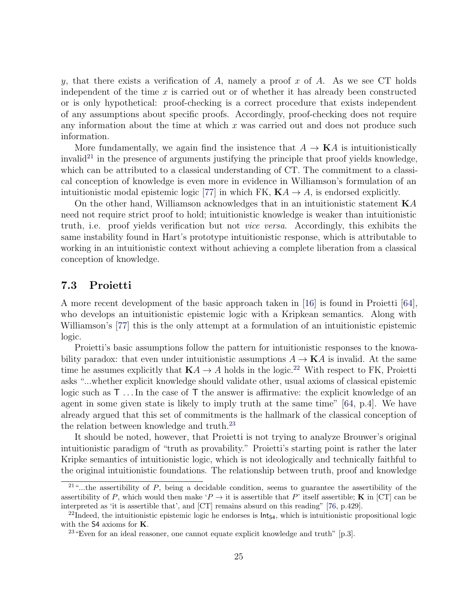<span id="page-25-3"></span>y, that there exists a verification of A, namely a proof x of A. As we see CT holds independent of the time  $x$  is carried out or of whether it has already been constructed or is only hypothetical: proof-checking is a correct procedure that exists independent of any assumptions about specific proofs. Accordingly, proof-checking does not require any information about the time at which  $x$  was carried out and does not produce such information.

More fundamentally, we again find the insistence that  $A \to \mathbf{K}A$  is intuitionistically invalid<sup>[21](#page-25-0)</sup> in the presence of arguments justifying the principle that proof yields knowledge, which can be attributed to a classical understanding of CT. The commitment to a classical conception of knowledge is even more in evidence in Williamson's formulation of an intuitionistic modal epistemic logic [\[77\]](#page-36-0) in which FK,  $\mathbf{K}A \rightarrow A$ , is endorsed explicitly.

On the other hand, Williamson acknowledges that in an intuitionistic statement  $KA$ need not require strict proof to hold; intuitionistic knowledge is weaker than intuitionistic truth, i.e. proof yields verification but not vice versa. Accordingly, this exhibits the same instability found in Hart's prototype intuitionistic response, which is attributable to working in an intuitionistic context without achieving a complete liberation from a classical conception of knowledge.

### 7.3 Proietti

A more recent development of the basic approach taken in [\[16\]](#page-33-14) is found in Proietti [\[64\]](#page-36-13), who develops an intuitionistic epistemic logic with a Kripkean semantics. Along with Williamson's [\[77\]](#page-36-0) this is the only attempt at a formulation of an intuitionistic epistemic logic.

Proietti's basic assumptions follow the pattern for intuitionistic responses to the knowability paradox: that even under intuitionistic assumptions  $A \to \mathbf{K}A$  is invalid. At the same time he assumes explicitly that  $K\mathcal{A} \to \mathcal{A}$  holds in the logic.<sup>[22](#page-25-1)</sup> With respect to FK, Proietti asks "...whether explicit knowledge should validate other, usual axioms of classical epistemic logic such as T . . . In the case of T the answer is affirmative: the explicit knowledge of an agent in some given state is likely to imply truth at the same time" [\[64,](#page-36-13) p.4]. We have already argued that this set of commitments is the hallmark of the classical conception of the relation between knowledge and truth.[23](#page-25-2)

It should be noted, however, that Proietti is not trying to analyze Brouwer's original intuitionistic paradigm of "truth as provability." Proietti's starting point is rather the later Kripke semantics of intuitionistic logic, which is not ideologically and technically faithful to the original intuitionistic foundations. The relationship between truth, proof and knowledge

<span id="page-25-0"></span> $21\%$ ...the assertibility of P, being a decidable condition, seems to guarantee the assertibility of the assertibility of P, which would then make ' $P \rightarrow$  it is assertible that P' itself assertible; K in [CT] can be interpreted as 'it is assertible that', and [CT] remains absurd on this reading" [\[76,](#page-36-12) p.429].

<span id="page-25-1"></span> $22$ Indeed, the intuitionistic epistemic logic he endorses is  $Int<sub>S4</sub>$ , which is intuitionistic propositional logic with the S4 axioms for K.

<span id="page-25-2"></span><sup>&</sup>lt;sup>23</sup> Even for an ideal reasoner, one cannot equate explicit knowledge and truth" [p.3].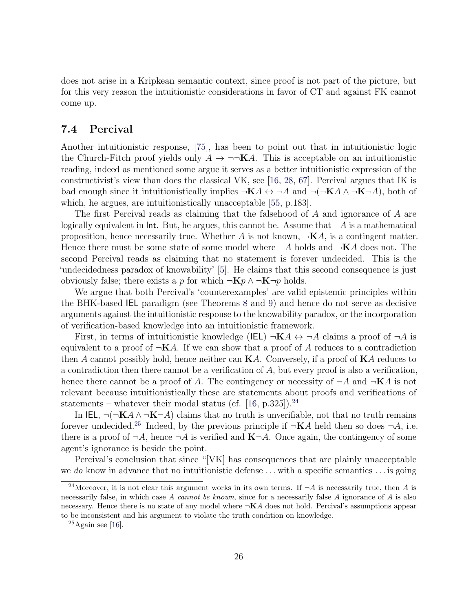<span id="page-26-3"></span>does not arise in a Kripkean semantic context, since proof is not part of the picture, but for this very reason the intuitionistic considerations in favor of CT and against FK cannot come up.

### <span id="page-26-0"></span>7.4 Percival

Another intuitionistic response, [\[75\]](#page-36-11), has been to point out that in intuitionistic logic the Church-Fitch proof yields only  $A \to \neg\neg K A$ . This is acceptable on an intuitionistic reading, indeed as mentioned some argue it serves as a better intuitionistic expression of the constructivist's view than does the classical VK, see [\[16,](#page-33-14) [28,](#page-33-13) [67\]](#page-36-14). Percival argues that IK is bad enough since it intuitionistically implies  $\neg K A \leftrightarrow \neg A$  and  $\neg (\neg K A \land \neg K \neg A)$ , both of which, he argues, are intuitionistically unacceptable [\[55,](#page-35-13) p.183].

The first Percival reads as claiming that the falsehood of A and ignorance of A are logically equivalent in lnt. But, he argues, this cannot be. Assume that  $\neg A$  is a mathematical proposition, hence necessarily true. Whether A is not known,  $\neg K A$ , is a contingent matter. Hence there must be some state of some model where  $\neg A$  holds and  $\neg K A$  does not. The second Percival reads as claiming that no statement is forever undecided. This is the 'undecidedness paradox of knowability' [\[5\]](#page-32-9). He claims that this second consequence is just obviously false; there exists a p for which  $\neg Kp \wedge \neg K\neg p$  holds.

We argue that both Percival's 'counterexamples' are valid epistemic principles within the BHK-based IEL paradigm (see Theorems [8](#page-15-1) and [9\)](#page-15-2) and hence do not serve as decisive arguments against the intuitionistic response to the knowability paradox, or the incorporation of verification-based knowledge into an intuitionistic framework.

First, in terms of intuitionistic knowledge (IEL)  $\neg K A \leftrightarrow \neg A$  claims a proof of  $\neg A$  is equivalent to a proof of  $\neg$ **K** $A$ . If we can show that a proof of  $A$  reduces to a contradiction then A cannot possibly hold, hence neither can  $\mathbf{K}A$ . Conversely, if a proof of  $\mathbf{K}A$  reduces to a contradiction then there cannot be a verification of  $A$ , but every proof is also a verification, hence there cannot be a proof of A. The contingency or necessity of  $\neg A$  and  $\neg K A$  is not relevant because intuitionistically these are statements about proofs and verifications of statements – whatever their modal status (cf. [\[16,](#page-33-14) p.325]).<sup>[24](#page-26-1)</sup>

In IEL,  $\neg(\neg \mathbf{K} A \wedge \neg \mathbf{K} \neg A)$  claims that no truth is unverifiable, not that no truth remains forever undecided.<sup>[25](#page-26-2)</sup> Indeed, by the previous principle if  $\neg$ **K**A held then so does  $\neg$ A, i.e. there is a proof of  $\neg A$ , hence  $\neg A$  is verified and  $\mathbf{K}\neg A$ . Once again, the contingency of some agent's ignorance is beside the point.

Percival's conclusion that since "[VK] has consequences that are plainly unacceptable we do know in advance that no intuitionistic defense  $\dots$  with a specific semantics  $\dots$  is going

<span id="page-26-1"></span><sup>&</sup>lt;sup>24</sup>Moreover, it is not clear this argument works in its own terms. If  $\neg A$  is necessarily true, then A is necessarily false, in which case A cannot be known, since for a necessarily false A ignorance of A is also necessary. Hence there is no state of any model where  $\neg K A$  does not hold. Percival's assumptions appear to be inconsistent and his argument to violate the truth condition on knowledge.

<span id="page-26-2"></span> $25$ Again see [\[16\]](#page-33-14).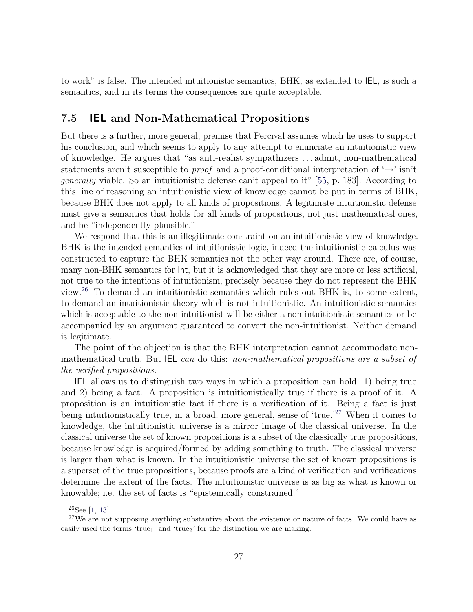<span id="page-27-2"></span>to work" is false. The intended intuitionistic semantics, BHK, as extended to IEL, is such a semantics, and in its terms the consequences are quite acceptable.

### 7.5 IEL and Non-Mathematical Propositions

But there is a further, more general, premise that Percival assumes which he uses to support his conclusion, and which seems to apply to any attempt to enunciate an intuitionistic view of knowledge. He argues that "as anti-realist sympathizers . . . admit, non-mathematical statements aren't susceptible to *proof* and a proof-conditional interpretation of  $\rightarrow$  isn't generally viable. So an intuitionistic defense can't appeal to it" [\[55,](#page-35-13) p. 183]. According to this line of reasoning an intuitionistic view of knowledge cannot be put in terms of BHK, because BHK does not apply to all kinds of propositions. A legitimate intuitionistic defense must give a semantics that holds for all kinds of propositions, not just mathematical ones, and be "independently plausible."

We respond that this is an illegitimate constraint on an intuitionistic view of knowledge. BHK is the intended semantics of intuitionistic logic, indeed the intuitionistic calculus was constructed to capture the BHK semantics not the other way around. There are, of course, many non-BHK semantics for Int, but it is acknowledged that they are more or less artificial, not true to the intentions of intuitionism, precisely because they do not represent the BHK view.[26](#page-27-0) To demand an intuitionistic semantics which rules out BHK is, to some extent, to demand an intuitionistic theory which is not intuitionistic. An intuitionistic semantics which is acceptable to the non-intuitionist will be either a non-intuitionistic semantics or be accompanied by an argument guaranteed to convert the non-intuitionist. Neither demand is legitimate.

The point of the objection is that the BHK interpretation cannot accommodate nonmathematical truth. But **IEL** can do this: non-mathematical propositions are a subset of the verified propositions.

IEL allows us to distinguish two ways in which a proposition can hold: 1) being true and 2) being a fact. A proposition is intuitionistically true if there is a proof of it. A proposition is an intuitionistic fact if there is a verification of it. Being a fact is just being intuitionistically true, in a broad, more general, sense of 'true.'<sup>[27](#page-27-1)</sup> When it comes to knowledge, the intuitionistic universe is a mirror image of the classical universe. In the classical universe the set of known propositions is a subset of the classically true propositions, because knowledge is acquired/formed by adding something to truth. The classical universe is larger than what is known. In the intuitionistic universe the set of known propositions is a superset of the true propositions, because proofs are a kind of verification and verifications determine the extent of the facts. The intuitionistic universe is as big as what is known or knowable; i.e. the set of facts is "epistemically constrained."

<span id="page-27-1"></span><span id="page-27-0"></span> $26$ See [\[1,](#page-32-5) [13\]](#page-33-15)

 $27$ We are not supposing anything substantive about the existence or nature of facts. We could have as easily used the terms 'true<sub>1</sub>' and 'true<sub>2</sub>' for the distinction we are making.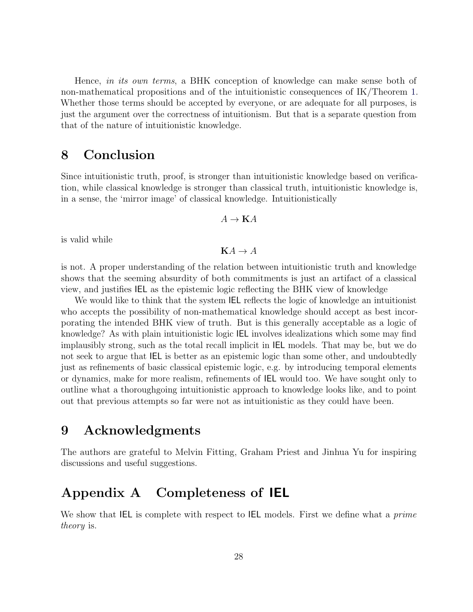Hence, in its own terms, a BHK conception of knowledge can make sense both of non-mathematical propositions and of the intuitionistic consequences of IK/Theorem [1.](#page-10-1) Whether those terms should be accepted by everyone, or are adequate for all purposes, is just the argument over the correctness of intuitionism. But that is a separate question from that of the nature of intuitionistic knowledge.

## 8 Conclusion

Since intuitionistic truth, proof, is stronger than intuitionistic knowledge based on verification, while classical knowledge is stronger than classical truth, intuitionistic knowledge is, in a sense, the 'mirror image' of classical knowledge. Intuitionistically

$$
A \to \mathbf{K}A
$$

is valid while

 $KA \rightarrow A$ 

is not. A proper understanding of the relation between intuitionistic truth and knowledge shows that the seeming absurdity of both commitments is just an artifact of a classical view, and justifies IEL as the epistemic logic reflecting the BHK view of knowledge

We would like to think that the system IEL reflects the logic of knowledge an intuitionist who accepts the possibility of non-mathematical knowledge should accept as best incorporating the intended BHK view of truth. But is this generally acceptable as a logic of knowledge? As with plain intuitionistic logic IEL involves idealizations which some may find implausibly strong, such as the total recall implicit in IEL models. That may be, but we do not seek to argue that IEL is better as an epistemic logic than some other, and undoubtedly just as refinements of basic classical epistemic logic, e.g. by introducing temporal elements or dynamics, make for more realism, refinements of IEL would too. We have sought only to outline what a thoroughgoing intuitionistic approach to knowledge looks like, and to point out that previous attempts so far were not as intuitionistic as they could have been.

# 9 Acknowledgments

The authors are grateful to Melvin Fitting, Graham Priest and Jinhua Yu for inspiring discussions and useful suggestions.

# <span id="page-28-0"></span>Appendix A Completeness of IEL

We show that IEL is complete with respect to IEL models. First we define what a *prime* theory is.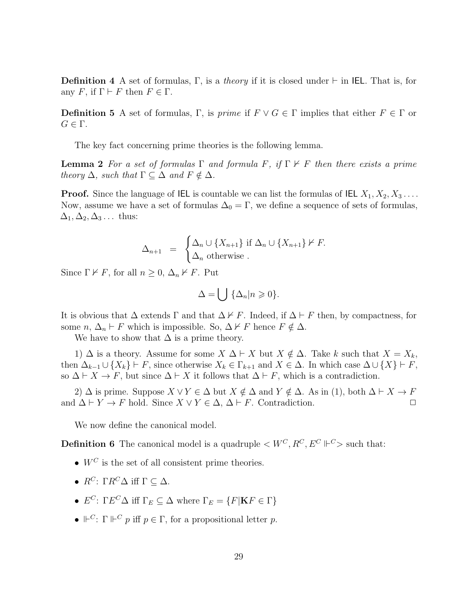**Definition 4** A set of formulas, Γ, is a *theory* if it is closed under  $\vdash$  in IEL. That is, for any F, if  $\Gamma \vdash F$  then  $F \in \Gamma$ .

**Definition 5** A set of formulas, Γ, is *prime* if  $F \lor G \in \Gamma$  implies that either  $F \in \Gamma$  or  $G \in \Gamma$ .

The key fact concerning prime theories is the following lemma.

**Lemma 2** For a set of formulas  $\Gamma$  and formula F, if  $\Gamma \nvdash F$  then there exists a prime theory  $\Delta$ , such that  $\Gamma \subset \Delta$  and  $F \notin \Delta$ .

**Proof.** Since the language of IEL is countable we can list the formulas of IEL  $X_1, X_2, X_3, \ldots$ Now, assume we have a set of formulas  $\Delta_0 = \Gamma$ , we define a sequence of sets of formulas,  $\Delta_1, \Delta_2, \Delta_3 \ldots$  thus:

$$
\Delta_{n+1} = \begin{cases} \Delta_n \cup \{X_{n+1}\} \text{ if } \Delta_n \cup \{X_{n+1}\} \nvdash F. \\ \Delta_n \text{ otherwise.} \end{cases}
$$

Since  $\Gamma \nvdash F$ , for all  $n \geq 0$ ,  $\Delta_n \nvdash F$ . Put

<span id="page-29-0"></span>
$$
\Delta = \bigcup \{ \Delta_n | n \geqslant 0 \}.
$$

It is obvious that  $\Delta$  extends  $\Gamma$  and that  $\Delta \nvdash F$ . Indeed, if  $\Delta \vdash F$  then, by compactness, for some  $n, \Delta_n \vdash F$  which is impossible. So,  $\Delta \nvdash F$  hence  $F \notin \Delta$ .

We have to show that  $\Delta$  is a prime theory.

1)  $\Delta$  is a theory. Assume for some  $X \Delta \vdash X$  but  $X \notin \Delta$ . Take k such that  $X = X_k$ , then  $\Delta_{k-1} \cup \{X_k\} \vdash F$ , since otherwise  $X_k \in \Gamma_{k+1}$  and  $X \in \Delta$ . In which case  $\Delta \cup \{X\} \vdash F$ , so  $\Delta \vdash X \to F$ , but since  $\Delta \vdash X$  it follows that  $\Delta \vdash F$ , which is a contradiction.

2)  $\Delta$  is prime. Suppose  $X \vee Y \in \Delta$  but  $X \notin \Delta$  and  $Y \notin \Delta$ . As in (1), both  $\Delta \vdash X \rightarrow F$ and  $\Delta \vdash Y \to F$  hold. Since  $X \lor Y \in \Delta$ ,  $\Delta \vdash F$ . Contradiction.

We now define the canonical model.

**Definition 6** The canonical model is a quadruple  $\lt W^C, R^C, E^C \Vdash^C$  such that:

- $W^C$  is the set of all consistent prime theories.
- $R^C$ : Γ $R^C\Delta$  iff  $\Gamma \subset \Delta$ .
- $E^C$ :  $\Gamma E^C \Delta$  iff  $\Gamma_E \subseteq \Delta$  where  $\Gamma_E = \{F | \mathbf{K} F \in \Gamma\}$
- $\mathbb{P}^C$ :  $\Gamma \Vdash^C p$  iff  $p \in \Gamma$ , for a propositional letter p.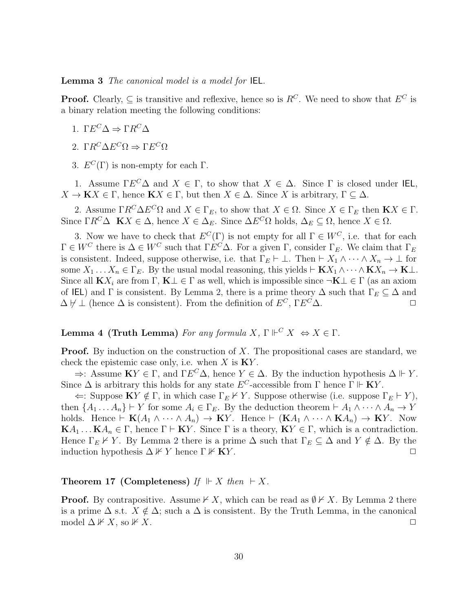#### Lemma 3 The canonical model is a model for IEL.

**Proof.** Clearly,  $\subseteq$  is transitive and reflexive, hence so is  $R^C$ . We need to show that  $E^C$  is a binary relation meeting the following conditions:

- 1. Γ $E^C \Delta \Rightarrow \Gamma R^C \Delta$
- 2. Γ $R^C \Delta E^C \Omega \Rightarrow \Gamma E^C \Omega$
- 3.  $E^C(\Gamma)$  is non-empty for each  $\Gamma$ .

1. Assume  $\Gamma E^C \Delta$  and  $X \in \Gamma$ , to show that  $X \in \Delta$ . Since  $\Gamma$  is closed under IEL,  $X \to \mathbf{K} X \in \Gamma$ , hence  $\mathbf{K} X \in \Gamma$ , but then  $X \in \Delta$ . Since X is arbitrary,  $\Gamma \subseteq \Delta$ .

2. Assume  $\Gamma R^C \Delta E^C \Omega$  and  $X \in \Gamma_E$ , to show that  $X \in \Omega$ . Since  $X \in \Gamma_E$  then  $\mathbf{K} X \in \Gamma$ . Since  $\Gamma R^C \Delta$   $\mathbf{K} X \in \Delta$ , hence  $X \in \Delta_E$ . Since  $\Delta E^C \Omega$  holds,  $\Delta_E \subseteq \Omega$ , hence  $X \in \Omega$ .

3. Now we have to check that  $E^C(\Gamma)$  is not empty for all  $\Gamma \in W^C$ , i.e. that for each  $\Gamma \in W^C$  there is  $\Delta \in W^C$  such that  $\Gamma E^C \Delta$ . For a given  $\Gamma$ , consider  $\Gamma_E$ . We claim that  $\Gamma_E$ is consistent. Indeed, suppose otherwise, i.e. that  $\Gamma_E \vdash \bot$ . Then  $\vdash X_1 \wedge \cdots \wedge X_n \to \bot$  for some  $X_1 \ldots X_n \in \Gamma_E$ . By the usual modal reasoning, this yields  $\vdash$  K $X_1 \wedge \cdots \wedge$  K $X_n \to$  K $\bot$ . Since all  $\mathbf{K}X_i$  are from  $\Gamma$ ,  $\mathbf{K} \perp \in \Gamma$  as well, which is impossible since  $\neg \mathbf{K} \perp \in \Gamma$  (as an axiom of IEL) and Γ is consistent. By Lemma [2,](#page-29-0) there is a prime theory  $\Delta$  such that  $\Gamma_E \subseteq \Delta$  and  $\Delta \not\vdash \bot$  (hence  $\Delta$  is consistent). From the definition of  $E^C$ ,  $\Gamma E^C \Delta$ .

### Lemma 4 (Truth Lemma) For any formula  $X, \Gamma \Vdash^C X \Leftrightarrow X \in \Gamma$ .

**Proof.** By induction on the construction of  $X$ . The propositional cases are standard, we check the epistemic case only, i.e. when  $X$  is  $KY$ .

 $\Rightarrow$ : Assume  $\mathbf{K}Y \in \Gamma$ , and  $\Gamma E^C \Delta$ , hence  $Y \in \Delta$ . By the induction hypothesis  $\Delta \Vdash Y$ . Since  $\Delta$  is arbitrary this holds for any state  $E^C$ -accessible from  $\Gamma$  hence  $\Gamma \Vdash \mathbf{K}Y$ .

 $\Leftarrow$ : Suppose **K***Y*  $\notin$  Γ, in which case Γ<sub>E</sub>  $\nvDash$  *Y*. Suppose otherwise (i.e. suppose Γ<sub>E</sub>  $\vdash$  *Y*), then  $\{A_1 \ldots A_n\} \vdash Y$  for some  $A_i \in \Gamma_E$ . By the deduction theorem  $\vdash A_1 \land \cdots \land A_n \to Y$ holds. Hence  $\vdash$  K $(A_1 \land \cdots \land A_n) \rightarrow$  KY. Hence  $\vdash$  (K $A_1 \land \cdots \land$  K $A_n$ )  $\rightarrow$  KY. Now  $\mathbf{K}A_1 \dots \mathbf{K}A_n \in \Gamma$ , hence  $\Gamma \vdash \mathbf{K}Y$ . Since  $\Gamma$  is a theory,  $\mathbf{K}Y \in \Gamma$ , which is a contradiction. Hence  $\Gamma_E \nvdash Y$ . By Lemma [2](#page-29-0) there is a prime  $\Delta$  such that  $\Gamma_E \subseteq \Delta$  and  $Y \notin \Delta$ . By the induction hypothesis  $\Delta \not\vdash Y$  hence  $\Gamma \not\vdash \mathbf{K} Y$ .

#### Theorem 17 (Completeness) If  $\mathbb{F} \mid X \text{ then } \vdash X$ .

**Proof.** By contrapositive. Assume  $\nvdash X$ , which can be read as  $\emptyset \nvdash X$ . By Lemma [2](#page-29-0) there is a prime  $\Delta$  s.t.  $X \notin \Delta$ ; such a  $\Delta$  is consistent. By the Truth Lemma, in the canonical model  $\Delta \not\vdash X$ , so  $\nvdash X$ .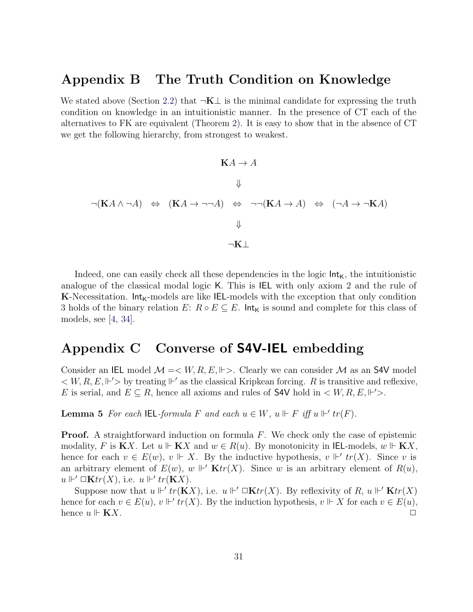## <span id="page-31-3"></span><span id="page-31-0"></span>Appendix B The Truth Condition on Knowledge

We stated above (Section [2.2\)](#page-7-0) that  $\neg K \bot$  is the minimal candidate for expressing the truth condition on knowledge in an intuitionistic manner. In the presence of CT each of the alternatives to FK are equivalent (Theorem [2\)](#page-11-0). It is easy to show that in the absence of CT we get the following hierarchy, from strongest to weakest.

$$
\mathbf{K}A \to A
$$
  

$$
\Downarrow
$$
  

$$
\neg(\mathbf{K}A \land \neg A) \Leftrightarrow (\mathbf{K}A \to \neg \neg A) \Leftrightarrow \neg \neg(\mathbf{K}A \to A) \Leftrightarrow (\neg A \to \neg \mathbf{K}A)
$$
  

$$
\Downarrow
$$
  

$$
\neg \mathbf{K} \perp
$$

Indeed, one can easily check all these dependencies in the logic  $Int_K$ , the intuitionistic analogue of the classical modal logic K. This is IEL with only axiom 2 and the rule of K-Necessitation.  $Int_{K}$ -models are like IEL-models with the exception that only condition 3 holds of the binary relation  $E: R \circ E \subseteq E$ . Int<sub>K</sub> is sound and complete for this class of models, see [\[4,](#page-32-6) [34\]](#page-34-14).

# <span id="page-31-1"></span>Appendix C Converse of S4V-IEL embedding

Consider an IEL model  $\mathcal{M} = \langle W, R, E, \Vdash \rangle$ . Clearly we can consider  $\mathcal M$  as an S4V model  $\langle W, R, E, \Vdash' \rangle$  by treating  $\Vdash'$  as the classical Kripkean forcing. R is transitive and reflexive, E is serial, and  $E \subseteq R$ , hence all axioms and rules of **S4V** hold in  $\lt W, R, E, \Vdash' \gt$ .

<span id="page-31-2"></span>**Lemma 5** For each IEL-formula F and each  $u \in W$ ,  $u \Vdash F$  iff  $u \Vdash' tr(F)$ .

**Proof.** A straightforward induction on formula  $F$ . We check only the case of epistemic modality, F is  $\mathbf{K}X$ . Let  $u \Vdash \mathbf{K}X$  and  $w \in R(u)$ . By monotonicity in IEL-models,  $w \Vdash \mathbf{K}X$ , hence for each  $v \in E(w)$ ,  $v \Vdash X$ . By the inductive hypothesis,  $v \Vdash' tr(X)$ . Since v is an arbitrary element of  $E(w)$ ,  $w \Vdash' \mathbf{K}tr(X)$ . Since w is an arbitrary element of  $R(u)$ ,  $u \Vdash' \Box \mathbf{K} tr(X)$ , i.e.  $u \Vdash' tr(\mathbf{K} X)$ .

Suppose now that  $u \Vdash' tr(KX)$ , i.e.  $u \Vdash' \square \mathbf{K} tr(X)$ . By reflexivity of R,  $u \Vdash' \mathbf{K} tr(X)$ hence for each  $v \in E(u)$ ,  $v \Vdash' tr(X)$ . By the induction hypothesis,  $v \Vdash X$  for each  $v \in E(u)$ , hence  $u \Vdash$  **KX**.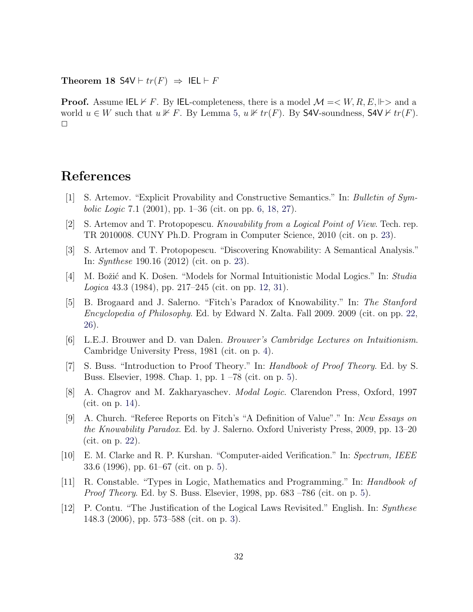Theorem 18 S4V  $\vdash tr(F) \Rightarrow \text{IEL} \vdash F$ 

**Proof.** Assume IEL  $\nvdash F$ . By IEL-completeness, there is a model  $\mathcal{M} = \langle W, R, E, \Vdash \rangle$  and a world  $u \in W$  such that  $u \not\vdash F$ . By Lemma [5,](#page-31-2)  $u \not\vdash tr(F)$ . By S4V-soundness, S4V  $\vdash tr(F)$ .  $\Box$ 

# References

- <span id="page-32-5"></span>[1] S. Artemov. "Explicit Provability and Constructive Semantics." In: Bulletin of Sym*bolic Logic* 7.1 (2001), pp.  $1-36$  (cit. on pp. [6,](#page-6-3) [18,](#page-18-2) [27\)](#page-27-2).
- <span id="page-32-10"></span>[2] S. Artemov and T. Protopopescu. Knowability from a Logical Point of View. Tech. rep. TR 2010008. CUNY Ph.D. Program in Computer Science, 2010 (cit. on p. [23\)](#page-23-0).
- <span id="page-32-11"></span>[3] S. Artemov and T. Protopopescu. "Discovering Knowability: A Semantical Analysis." In: Synthese 190.16 (2012) (cit. on p. [23\)](#page-23-0).
- <span id="page-32-6"></span>[4] M. Božić and K. Došen. "Models for Normal Intuitionistic Modal Logics." In: Studia Logica 43.3 (1984), pp. 217–245 (cit. on pp. [12,](#page-12-2) [31\)](#page-31-3).
- <span id="page-32-9"></span>[5] B. Brogaard and J. Salerno. "Fitch's Paradox of Knowability." In: The Stanford Encyclopedia of Philosophy. Ed. by Edward N. Zalta. Fall 2009. 2009 (cit. on pp. [22,](#page-22-4) [26\)](#page-26-3).
- <span id="page-32-1"></span>[6] L.E.J. Brouwer and D. van Dalen. Brouwer's Cambridge Lectures on Intuitionism. Cambridge University Press, 1981 (cit. on p. [4\)](#page-4-2).
- <span id="page-32-2"></span>[7] S. Buss. "Introduction to Proof Theory." In: Handbook of Proof Theory. Ed. by S. Buss. Elsevier, 1998. Chap. 1, pp. 1 –78 (cit. on p. [5\)](#page-5-4).
- <span id="page-32-7"></span>[8] A. Chagrov and M. Zakharyaschev. Modal Logic. Clarendon Press, Oxford, 1997 (cit. on p. [14\)](#page-14-4).
- <span id="page-32-8"></span>[9] A. Church. "Referee Reports on Fitch's "A Definition of Value"." In: New Essays on the Knowability Paradox. Ed. by J. Salerno. Oxford Univeristy Press, 2009, pp. 13–20 (cit. on p. [22\)](#page-22-4).
- <span id="page-32-3"></span>[10] E. M. Clarke and R. P. Kurshan. "Computer-aided Verification." In: Spectrum, IEEE 33.6 (1996), pp. 61–67 (cit. on p. [5\)](#page-5-4).
- <span id="page-32-4"></span>[11] R. Constable. "Types in Logic, Mathematics and Programming." In: Handbook of Proof Theory. Ed. by S. Buss. Elsevier, 1998, pp. 683 –786 (cit. on p. [5\)](#page-5-4).
- <span id="page-32-0"></span>[12] P. Contu. "The Justification of the Logical Laws Revisited." English. In: Synthese 148.3 (2006), pp. 573–588 (cit. on p. [3\)](#page-3-2).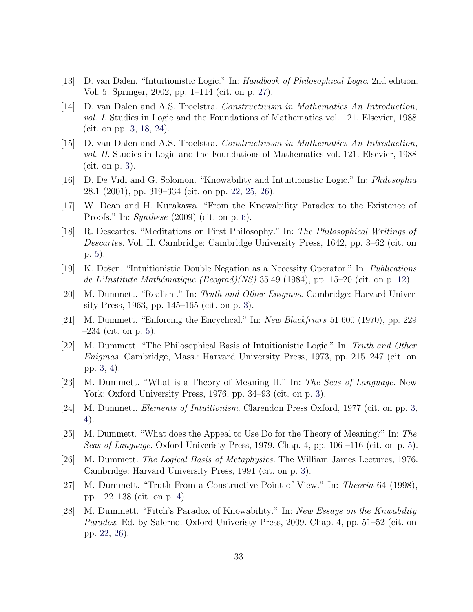- <span id="page-33-15"></span>[13] D. van Dalen. "Intuitionistic Logic." In: Handbook of Philosophical Logic. 2nd edition. Vol. 5. Springer, 2002, pp. 1–114 (cit. on p. [27\)](#page-27-2).
- <span id="page-33-0"></span>[14] D. van Dalen and A.S. Troelstra. Constructivism in Mathematics An Introduction, vol. I. Studies in Logic and the Foundations of Mathematics vol. 121. Elsevier, 1988 (cit. on pp. [3,](#page-3-2) [18,](#page-18-2) [24\)](#page-24-1).
- <span id="page-33-1"></span>[15] D. van Dalen and A.S. Troelstra. Constructivism in Mathematics An Introduction, vol. II. Studies in Logic and the Foundations of Mathematics vol. 121. Elsevier, 1988 (cit. on p. [3\)](#page-3-2).
- <span id="page-33-14"></span>[16] D. De Vidi and G. Solomon. "Knowability and Intuitionistic Logic." In: Philosophia 28.1 (2001), pp. 319–334 (cit. on pp. [22,](#page-22-4) [25,](#page-25-3) [26\)](#page-26-3).
- <span id="page-33-11"></span>[17] W. Dean and H. Kurakawa. "From the Knowability Paradox to the Existence of Proofs." In: Synthese (2009) (cit. on p. [6\)](#page-6-3).
- <span id="page-33-10"></span>[18] R. Descartes. "Meditations on First Philosophy." In: The Philosophical Writings of Descartes. Vol. II. Cambridge: Cambridge University Press, 1642, pp. 3–62 (cit. on p. [5\)](#page-5-4).
- <span id="page-33-12"></span>[19] K. Došen. "Intuitionistic Double Negation as a Necessity Operator." In: *Publications* de L'Institute Mathématique (Beograd)(NS) 35.49 (1984), pp. 15–20 (cit. on p. [12\)](#page-12-2).
- <span id="page-33-2"></span>[20] M. Dummett. "Realism." In: Truth and Other Enigmas. Cambridge: Harvard University Press, 1963, pp. 145–165 (cit. on p. [3\)](#page-3-2).
- <span id="page-33-8"></span>[21] M. Dummett. "Enforcing the Encyclical." In: New Blackfriars 51.600 (1970), pp. 229  $-234$  (cit. on p. [5\)](#page-5-4).
- <span id="page-33-3"></span>[22] M. Dummett. "The Philosophical Basis of Intuitionistic Logic." In: Truth and Other Enigmas. Cambridge, Mass.: Harvard University Press, 1973, pp. 215–247 (cit. on pp. [3,](#page-3-2) [4\)](#page-4-2).
- <span id="page-33-4"></span>[23] M. Dummett. "What is a Theory of Meaning II." In: The Seas of Language. New York: Oxford University Press, 1976, pp. 34–93 (cit. on p. [3\)](#page-3-2).
- <span id="page-33-5"></span>[24] M. Dummett. Elements of Intuitionism. Clarendon Press Oxford, 1977 (cit. on pp. [3,](#page-3-2) [4\)](#page-4-2).
- <span id="page-33-9"></span>[25] M. Dummett. "What does the Appeal to Use Do for the Theory of Meaning?" In: The Seas of Language. Oxford Univeristy Press, 1979. Chap. 4, pp. 106 –116 (cit. on p. [5\)](#page-5-4).
- <span id="page-33-6"></span>[26] M. Dummett. The Logical Basis of Metaphysics. The William James Lectures, 1976. Cambridge: Harvard University Press, 1991 (cit. on p. [3\)](#page-3-2).
- <span id="page-33-7"></span>[27] M. Dummett. "Truth From a Constructive Point of View." In: Theoria 64 (1998), pp. 122–138 (cit. on p. [4\)](#page-4-2).
- <span id="page-33-13"></span>[28] M. Dummett. "Fitch's Paradox of Knowability." In: New Essays on the Knwability Paradox. Ed. by Salerno. Oxford Univeristy Press, 2009. Chap. 4, pp. 51–52 (cit. on pp. [22,](#page-22-4) [26\)](#page-26-3).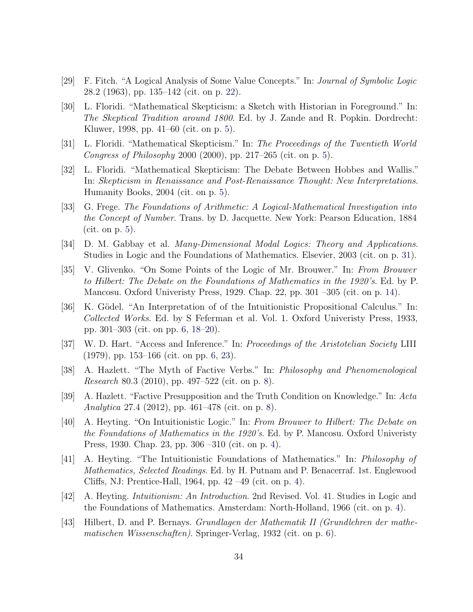- <span id="page-34-13"></span>[29] F. Fitch. "A Logical Analysis of Some Value Concepts." In: Journal of Symbolic Logic 28.2 (1963), pp. 135–142 (cit. on p. [22\)](#page-22-4).
- <span id="page-34-3"></span>[30] L. Floridi. "Mathematical Skepticism: a Sketch with Historian in Foreground." In: The Skeptical Tradition around 1800. Ed. by J. Zande and R. Popkin. Dordrecht: Kluwer, 1998, pp. 41–60 (cit. on p. [5\)](#page-5-4).
- <span id="page-34-4"></span>[31] L. Floridi. "Mathematical Skepticism." In: The Proceedings of the Twentieth World Congress of Philosophy 2000 (2000), pp. 217–265 (cit. on p. [5\)](#page-5-4).
- <span id="page-34-5"></span>[32] L. Floridi. "Mathematical Skepticism: The Debate Between Hobbes and Wallis." In: Skepticism in Renaissance and Post-Renaissance Thought: New Interpretations. Humanity Books, 2004 (cit. on p. [5\)](#page-5-4).
- <span id="page-34-6"></span>[33] G. Frege. The Foundations of Arithmetic: A Logical-Mathematical Investigation into the Concept of Number. Trans. by D. Jacquette. New York: Pearson Education, 1884 (cit. on p. [5\)](#page-5-4).
- <span id="page-34-14"></span>[34] D. M. Gabbay et al. Many-Dimensional Modal Logics: Theory and Applications. Studies in Logic and the Foundations of Mathematics. Elsevier, 2003 (cit. on p. [31\)](#page-31-3).
- <span id="page-34-12"></span>[35] V. Glivenko. "On Some Points of the Logic of Mr. Brouwer." In: From Brouwer to Hilbert: The Debate on the Foundations of Mathematics in the 1920's. Ed. by P. Mancosu. Oxford Univeristy Press, 1929. Chap. 22, pp. 301 –305 (cit. on p. [14\)](#page-14-4).
- <span id="page-34-8"></span>[36] K. Gödel. "An Interpretation of of the Intuitionistic Propositional Calculus." In: Collected Works. Ed. by S Feferman et al. Vol. 1. Oxford Univeristy Press, 1933, pp. 301–303 (cit. on pp. [6,](#page-6-3) [18–](#page-18-2)[20\)](#page-20-0).
- <span id="page-34-7"></span>[37] W. D. Hart. "Access and Inference." In: Proceedings of the Aristotelian Society LIII (1979), pp. 153–166 (cit. on pp. [6,](#page-6-3) [23\)](#page-23-0).
- <span id="page-34-10"></span>[38] A. Hazlett. "The Myth of Factive Verbs." In: Philosophy and Phenomenological Research 80.3 (2010), pp. 497–522 (cit. on p. [8\)](#page-8-3).
- <span id="page-34-11"></span>[39] A. Hazlett. "Factive Presupposition and the Truth Condition on Knowledge." In: Acta Analytica 27.4 (2012), pp. 461–478 (cit. on p. [8\)](#page-8-3).
- <span id="page-34-1"></span>[40] A. Heyting. "On Intuitionistic Logic." In: From Brouwer to Hilbert: The Debate on the Foundations of Mathematics in the 1920's. Ed. by P. Mancosu. Oxford Univeristy Press, 1930. Chap. 23, pp. 306 –310 (cit. on p. [4\)](#page-4-2).
- <span id="page-34-2"></span>[41] A. Heyting. "The Intuitionistic Foundations of Mathematics." In: Philosophy of Mathematics, Selected Readings. Ed. by H. Putnam and P. Benacerraf. 1st. Englewood Cliffs, NJ: Prentice-Hall, 1964, pp. 42 –49 (cit. on p. [4\)](#page-4-2).
- <span id="page-34-0"></span>[42] A. Heyting. Intuitionism: An Introduction. 2nd Revised. Vol. 41. Studies in Logic and the Foundations of Mathematics. Amsterdam: North-Holland, 1966 (cit. on p. [4\)](#page-4-2).
- <span id="page-34-9"></span>[43] Hilbert, D. and P. Bernays. Grundlagen der Mathematik II (Grundlehren der mathematischen Wissenschaften). Springer-Verlag, 1932 (cit. on p. [6\)](#page-6-3).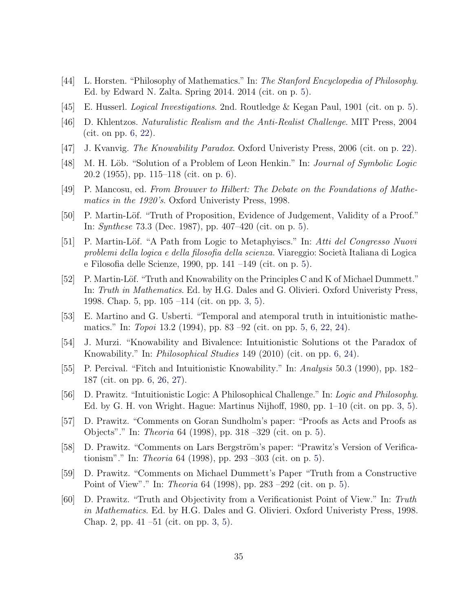- <span id="page-35-8"></span>[44] L. Horsten. "Philosophy of Mathematics." In: The Stanford Encyclopedia of Philosophy. Ed. by Edward N. Zalta. Spring 2014. 2014 (cit. on p. [5\)](#page-5-4).
- <span id="page-35-9"></span>[45] E. Husserl. Logical Investigations. 2nd. Routledge & Kegan Paul, 1901 (cit. on p. [5\)](#page-5-4).
- <span id="page-35-11"></span>[46] D. Khlentzos. Naturalistic Realism and the Anti-Realist Challenge. MIT Press, 2004 (cit. on pp. [6,](#page-6-3) [22\)](#page-22-4).
- <span id="page-35-15"></span>[47] J. Kvanvig. The Knowability Paradox. Oxford Univeristy Press, 2006 (cit. on p. [22\)](#page-22-4).
- <span id="page-35-14"></span>[48] M. H. Löb. "Solution of a Problem of Leon Henkin." In: *Journal of Symbolic Logic* 20.2 (1955), pp. 115–118 (cit. on p. [6\)](#page-6-3).
- [49] P. Mancosu, ed. From Brouwer to Hilbert: The Debate on the Foundations of Mathematics in the 1920's. Oxford Univeristy Press, 1998.
- <span id="page-35-6"></span>[50] P. Martin-Löf. "Truth of Proposition, Evidence of Judgement, Validity of a Proof." In: Synthese 73.3 (Dec. 1987), pp. 407–420 (cit. on p. [5\)](#page-5-4).
- <span id="page-35-7"></span>[51] P. Martin-Löf. "A Path from Logic to Metaphyiscs." In: Atti del Congresso Nuovi problemi della logica e della filosofia della scienza. Viareggio: Società Italiana di Logica e Filosofia delle Scienze, 1990, pp. 141 –149 (cit. on p. [5\)](#page-5-4).
- <span id="page-35-0"></span>[52] P. Martin-Löf. "Truth and Knowability on the Principles C and K of Michael Dummett." In: Truth in Mathematics. Ed. by H.G. Dales and G. Olivieri. Oxford Univeristy Press, 1998. Chap. 5, pp. 105 –114 (cit. on pp. [3,](#page-3-2) [5\)](#page-5-4).
- <span id="page-35-10"></span>[53] E. Martino and G. Usberti. "Temporal and atemporal truth in intuitionistic mathematics." In: Topoi 13.2 (1994), pp. 83 –92 (cit. on pp. [5,](#page-5-4) [6,](#page-6-3) [22,](#page-22-4) [24\)](#page-24-1).
- <span id="page-35-12"></span>[54] J. Murzi. "Knowability and Bivalence: Intuitionistic Solutions ot the Paradox of Knowability." In: Philosophical Studies 149 (2010) (cit. on pp. [6,](#page-6-3) [24\)](#page-24-1).
- <span id="page-35-13"></span>[55] P. Percival. "Fitch and Intuitionistic Knowability." In: Analysis 50.3 (1990), pp. 182– 187 (cit. on pp. [6,](#page-6-3) [26,](#page-26-3) [27\)](#page-27-2).
- <span id="page-35-1"></span>[56] D. Prawitz. "Intuitionistic Logic: A Philosophical Challenge." In: Logic and Philosophy. Ed. by G. H. von Wright. Hague: Martinus Nijhoff, 1980, pp. 1–10 (cit. on pp. [3,](#page-3-2) [5\)](#page-5-4).
- <span id="page-35-3"></span>[57] D. Prawitz. "Comments on Goran Sundholm's paper: "Proofs as Acts and Proofs as Objects"." In: Theoria 64 (1998), pp. 318 –329 (cit. on p. [5\)](#page-5-4).
- <span id="page-35-4"></span>[58] D. Prawitz. "Comments on Lars Bergström's paper: "Prawitz's Version of Verificationism"." In: Theoria 64 (1998), pp. 293 –303 (cit. on p. [5\)](#page-5-4).
- <span id="page-35-5"></span>[59] D. Prawitz. "Comments on Michael Dummett's Paper "Truth from a Constructive Point of View"." In: Theoria 64 (1998), pp. 283 –292 (cit. on p. [5\)](#page-5-4).
- <span id="page-35-2"></span>[60] D. Prawitz. "Truth and Objectivity from a Verificationist Point of View." In: Truth in Mathematics. Ed. by H.G. Dales and G. Olivieri. Oxford Univeristy Press, 1998. Chap. 2, pp. 41 –51 (cit. on pp. [3,](#page-3-2) [5\)](#page-5-4).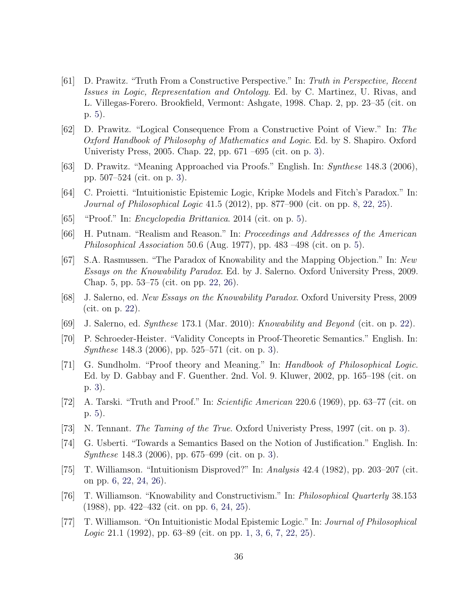- <span id="page-36-7"></span>[61] D. Prawitz. "Truth From a Constructive Perspective." In: Truth in Perspective, Recent Issues in Logic, Representation and Ontology. Ed. by C. Martinez, U. Rivas, and L. Villegas-Forero. Brookfield, Vermont: Ashgate, 1998. Chap. 2, pp. 23–35 (cit. on p. [5\)](#page-5-4).
- <span id="page-36-1"></span>[62] D. Prawitz. "Logical Consequence From a Constructive Point of View." In: The Oxford Handbook of Philosophy of Mathematics and Logic. Ed. by S. Shapiro. Oxford Univeristy Press, 2005. Chap. 22, pp. 671 –695 (cit. on p. [3\)](#page-3-2).
- <span id="page-36-2"></span>[63] D. Prawitz. "Meaning Approached via Proofs." English. In: Synthese 148.3 (2006), pp. 507–524 (cit. on p. [3\)](#page-3-2).
- <span id="page-36-13"></span>[64] C. Proietti. "Intuitionistic Epistemic Logic, Kripke Models and Fitch's Paradox." In: Journal of Philosophical Logic 41.5 (2012), pp. 877–900 (cit. on pp. [8,](#page-8-3) [22,](#page-22-4) [25\)](#page-25-3).
- <span id="page-36-8"></span>[65] "Proof." In: Encyclopedia Brittanica. 2014 (cit. on p. [5\)](#page-5-4).
- <span id="page-36-9"></span>[66] H. Putnam. "Realism and Reason." In: Proceedings and Addresses of the American Philosophical Association 50.6 (Aug. 1977), pp. 483 –498 (cit. on p. [5\)](#page-5-4).
- <span id="page-36-14"></span>[67] S.A. Rasmussen. "The Paradox of Knowability and the Mapping Objection." In: New Essays on the Knowability Paradox. Ed. by J. Salerno. Oxford University Press, 2009. Chap. 5, pp. 53–75 (cit. on pp. [22,](#page-22-4) [26\)](#page-26-3).
- <span id="page-36-15"></span>[68] J. Salerno, ed. New Essays on the Knowability Paradox. Oxford University Press, 2009 (cit. on p. [22\)](#page-22-4).
- <span id="page-36-16"></span>[69] J. Salerno, ed. Synthese 173.1 (Mar. 2010): Knowability and Beyond (cit. on p. [22\)](#page-22-4).
- <span id="page-36-3"></span>[70] P. Schroeder-Heister. "Validity Concepts in Proof-Theoretic Semantics." English. In: Synthese 148.3 (2006), pp. 525–571 (cit. on p. [3\)](#page-3-2).
- <span id="page-36-4"></span>[71] G. Sundholm. "Proof theory and Meaning." In: Handbook of Philosophical Logic. Ed. by D. Gabbay and F. Guenther. 2nd. Vol. 9. Kluwer, 2002, pp. 165–198 (cit. on p. [3\)](#page-3-2).
- <span id="page-36-10"></span>[72] A. Tarski. "Truth and Proof." In: Scientific American 220.6 (1969), pp. 63–77 (cit. on p. [5\)](#page-5-4).
- <span id="page-36-5"></span>[73] N. Tennant. The Taming of the True. Oxford Univeristy Press, 1997 (cit. on p. [3\)](#page-3-2).
- <span id="page-36-6"></span>[74] G. Usberti. "Towards a Semantics Based on the Notion of Justification." English. In: Synthese 148.3 (2006), pp. 675–699 (cit. on p. [3\)](#page-3-2).
- <span id="page-36-11"></span>[75] T. Williamson. "Intuitionism Disproved?" In: Analysis 42.4 (1982), pp. 203–207 (cit. on pp. [6,](#page-6-3) [22,](#page-22-4) [24,](#page-24-1) [26\)](#page-26-3).
- <span id="page-36-12"></span>[76] T. Williamson. "Knowability and Constructivism." In: Philosophical Quarterly 38.153 (1988), pp. 422–432 (cit. on pp. [6,](#page-6-3) [24,](#page-24-1) [25\)](#page-25-3).
- <span id="page-36-0"></span>[77] T. Williamson. "On Intuitionistic Modal Epistemic Logic." In: Journal of Philosophical Logic 21.1 (1992), pp. 63–89 (cit. on pp. [1,](#page-1-0) [3,](#page-3-2) [6,](#page-6-3) [7,](#page-7-1) [22,](#page-22-4) [25\)](#page-25-3).